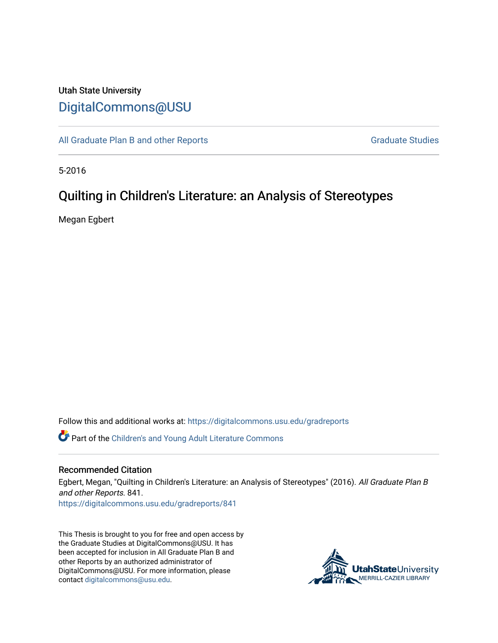# Utah State University [DigitalCommons@USU](https://digitalcommons.usu.edu/)

[All Graduate Plan B and other Reports](https://digitalcommons.usu.edu/gradreports) **Graduate Studies** Graduate Studies

5-2016

# Quilting in Children's Literature: an Analysis of Stereotypes

Megan Egbert

Follow this and additional works at: [https://digitalcommons.usu.edu/gradreports](https://digitalcommons.usu.edu/gradreports?utm_source=digitalcommons.usu.edu%2Fgradreports%2F841&utm_medium=PDF&utm_campaign=PDFCoverPages)

Part of the [Children's and Young Adult Literature Commons](http://network.bepress.com/hgg/discipline/1289?utm_source=digitalcommons.usu.edu%2Fgradreports%2F841&utm_medium=PDF&utm_campaign=PDFCoverPages) 

#### Recommended Citation

Egbert, Megan, "Quilting in Children's Literature: an Analysis of Stereotypes" (2016). All Graduate Plan B and other Reports. 841.

[https://digitalcommons.usu.edu/gradreports/841](https://digitalcommons.usu.edu/gradreports/841?utm_source=digitalcommons.usu.edu%2Fgradreports%2F841&utm_medium=PDF&utm_campaign=PDFCoverPages)

This Thesis is brought to you for free and open access by the Graduate Studies at DigitalCommons@USU. It has been accepted for inclusion in All Graduate Plan B and other Reports by an authorized administrator of DigitalCommons@USU. For more information, please contact [digitalcommons@usu.edu](mailto:digitalcommons@usu.edu).

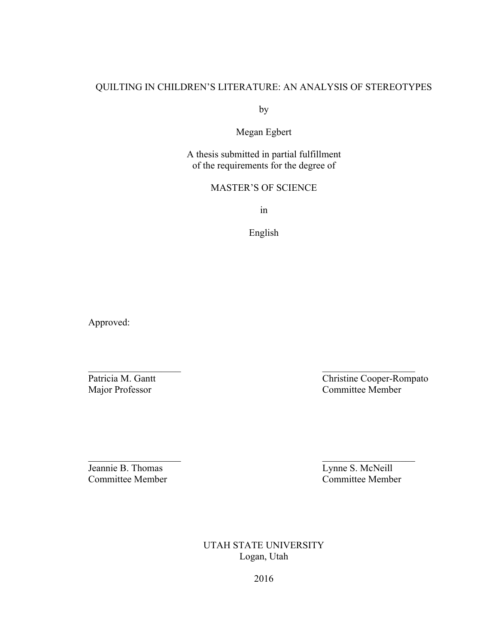# QUILTING IN CHILDREN'S LITERATURE: AN ANALYSIS OF STEREOTYPES

by

Megan Egbert

A thesis submitted in partial fulfillment of the requirements for the degree of

# MASTER'S OF SCIENCE

in

English

 $\mathcal{L}_\mathcal{L}$  , and the contribution of the contribution of  $\mathcal{L}_\mathcal{L}$  , and the contribution of  $\mathcal{L}_\mathcal{L}$ 

 $\mathcal{L}_\text{max}$  and  $\mathcal{L}_\text{max}$  and  $\mathcal{L}_\text{max}$  and  $\mathcal{L}_\text{max}$ 

Approved:

Patricia M. Gantt<br>
Major Professor<br>
Christine Cooper-Rompato<br>
Committee Member Committee Member

Jeannie B. Thomas<br>
Committee Member<br>
Committee Member<br>
Committee Member Committee Member

UTAH STATE UNIVERSITY Logan, Utah

2016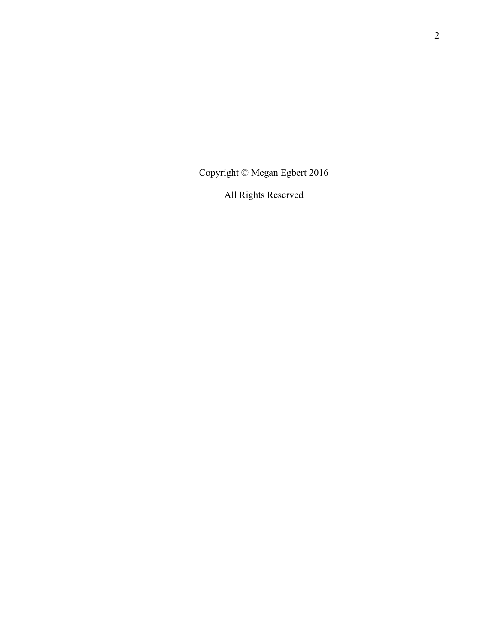Copyright © Megan Egbert 2016

All Rights Reserved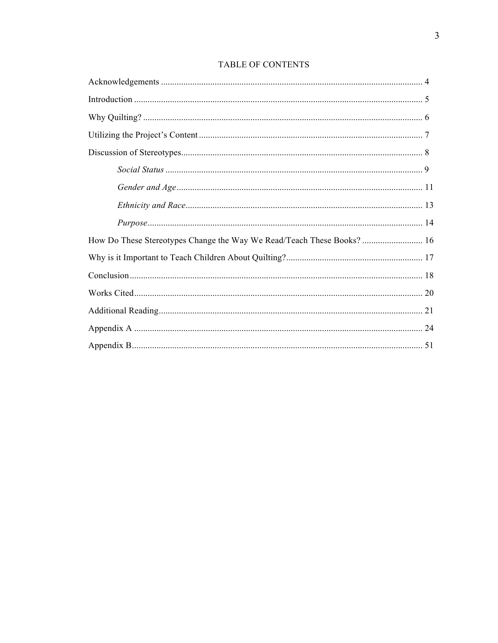| How Do These Stereotypes Change the Way We Read/Teach These Books?  16 |  |
|------------------------------------------------------------------------|--|
|                                                                        |  |
|                                                                        |  |
|                                                                        |  |
|                                                                        |  |
|                                                                        |  |
|                                                                        |  |

# TABLE OF CONTENTS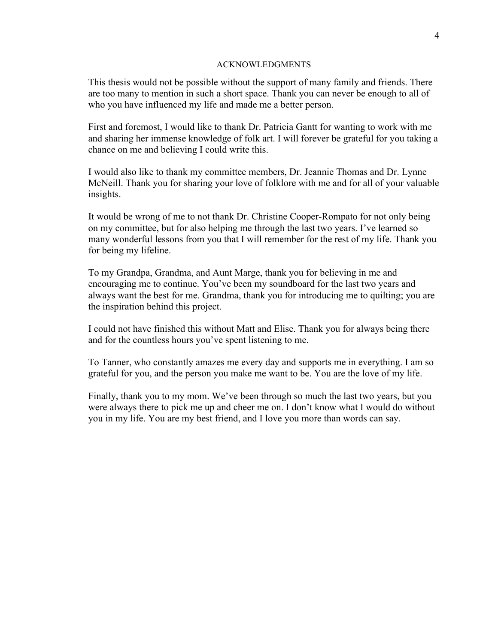#### ACKNOWLEDGMENTS

This thesis would not be possible without the support of many family and friends. There are too many to mention in such a short space. Thank you can never be enough to all of who you have influenced my life and made me a better person.

First and foremost, I would like to thank Dr. Patricia Gantt for wanting to work with me and sharing her immense knowledge of folk art. I will forever be grateful for you taking a chance on me and believing I could write this.

I would also like to thank my committee members, Dr. Jeannie Thomas and Dr. Lynne McNeill. Thank you for sharing your love of folklore with me and for all of your valuable insights.

It would be wrong of me to not thank Dr. Christine Cooper-Rompato for not only being on my committee, but for also helping me through the last two years. I've learned so many wonderful lessons from you that I will remember for the rest of my life. Thank you for being my lifeline.

To my Grandpa, Grandma, and Aunt Marge, thank you for believing in me and encouraging me to continue. You've been my soundboard for the last two years and always want the best for me. Grandma, thank you for introducing me to quilting; you are the inspiration behind this project.

I could not have finished this without Matt and Elise. Thank you for always being there and for the countless hours you've spent listening to me.

To Tanner, who constantly amazes me every day and supports me in everything. I am so grateful for you, and the person you make me want to be. You are the love of my life.

Finally, thank you to my mom. We've been through so much the last two years, but you were always there to pick me up and cheer me on. I don't know what I would do without you in my life. You are my best friend, and I love you more than words can say.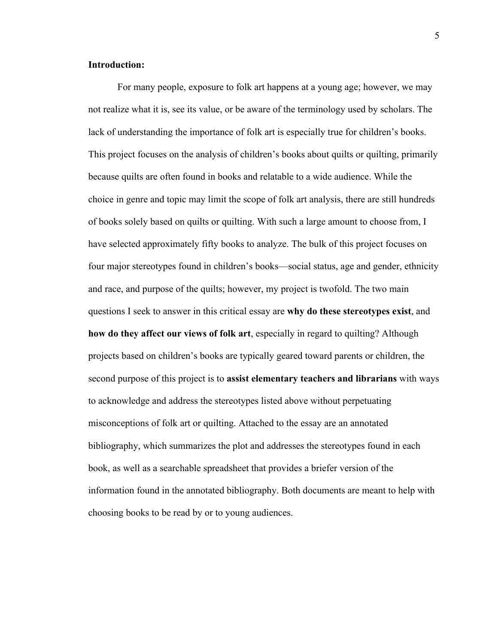# **Introduction:**

For many people, exposure to folk art happens at a young age; however, we may not realize what it is, see its value, or be aware of the terminology used by scholars. The lack of understanding the importance of folk art is especially true for children's books. This project focuses on the analysis of children's books about quilts or quilting, primarily because quilts are often found in books and relatable to a wide audience. While the choice in genre and topic may limit the scope of folk art analysis, there are still hundreds of books solely based on quilts or quilting. With such a large amount to choose from, I have selected approximately fifty books to analyze. The bulk of this project focuses on four major stereotypes found in children's books—social status, age and gender, ethnicity and race, and purpose of the quilts; however, my project is twofold. The two main questions I seek to answer in this critical essay are **why do these stereotypes exist**, and **how do they affect our views of folk art**, especially in regard to quilting? Although projects based on children's books are typically geared toward parents or children, the second purpose of this project is to **assist elementary teachers and librarians** with ways to acknowledge and address the stereotypes listed above without perpetuating misconceptions of folk art or quilting. Attached to the essay are an annotated bibliography, which summarizes the plot and addresses the stereotypes found in each book, as well as a searchable spreadsheet that provides a briefer version of the information found in the annotated bibliography. Both documents are meant to help with choosing books to be read by or to young audiences.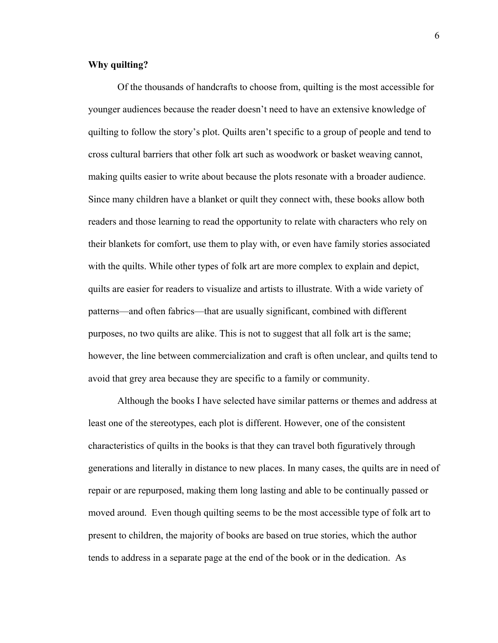# **Why quilting?**

Of the thousands of handcrafts to choose from, quilting is the most accessible for younger audiences because the reader doesn't need to have an extensive knowledge of quilting to follow the story's plot. Quilts aren't specific to a group of people and tend to cross cultural barriers that other folk art such as woodwork or basket weaving cannot, making quilts easier to write about because the plots resonate with a broader audience. Since many children have a blanket or quilt they connect with, these books allow both readers and those learning to read the opportunity to relate with characters who rely on their blankets for comfort, use them to play with, or even have family stories associated with the quilts. While other types of folk art are more complex to explain and depict, quilts are easier for readers to visualize and artists to illustrate. With a wide variety of patterns—and often fabrics—that are usually significant, combined with different purposes, no two quilts are alike. This is not to suggest that all folk art is the same; however, the line between commercialization and craft is often unclear, and quilts tend to avoid that grey area because they are specific to a family or community.

Although the books I have selected have similar patterns or themes and address at least one of the stereotypes, each plot is different. However, one of the consistent characteristics of quilts in the books is that they can travel both figuratively through generations and literally in distance to new places. In many cases, the quilts are in need of repair or are repurposed, making them long lasting and able to be continually passed or moved around. Even though quilting seems to be the most accessible type of folk art to present to children, the majority of books are based on true stories, which the author tends to address in a separate page at the end of the book or in the dedication. As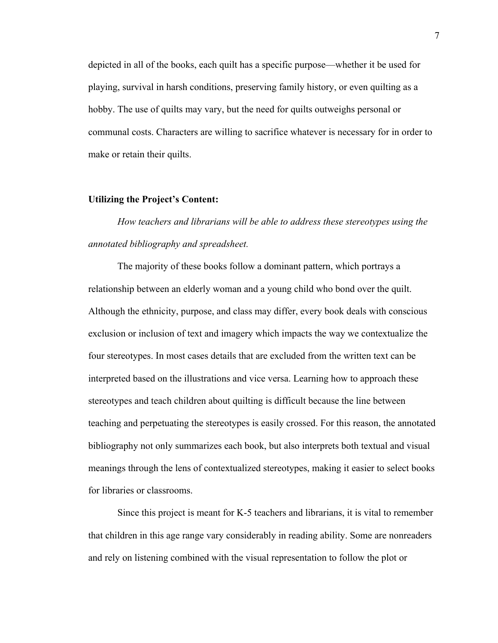depicted in all of the books, each quilt has a specific purpose—whether it be used for playing, survival in harsh conditions, preserving family history, or even quilting as a hobby. The use of quilts may vary, but the need for quilts outweighs personal or communal costs. Characters are willing to sacrifice whatever is necessary for in order to make or retain their quilts.

#### **Utilizing the Project's Content:**

*How teachers and librarians will be able to address these stereotypes using the annotated bibliography and spreadsheet.*

The majority of these books follow a dominant pattern, which portrays a relationship between an elderly woman and a young child who bond over the quilt. Although the ethnicity, purpose, and class may differ, every book deals with conscious exclusion or inclusion of text and imagery which impacts the way we contextualize the four stereotypes. In most cases details that are excluded from the written text can be interpreted based on the illustrations and vice versa. Learning how to approach these stereotypes and teach children about quilting is difficult because the line between teaching and perpetuating the stereotypes is easily crossed. For this reason, the annotated bibliography not only summarizes each book, but also interprets both textual and visual meanings through the lens of contextualized stereotypes, making it easier to select books for libraries or classrooms.

Since this project is meant for K-5 teachers and librarians, it is vital to remember that children in this age range vary considerably in reading ability. Some are nonreaders and rely on listening combined with the visual representation to follow the plot or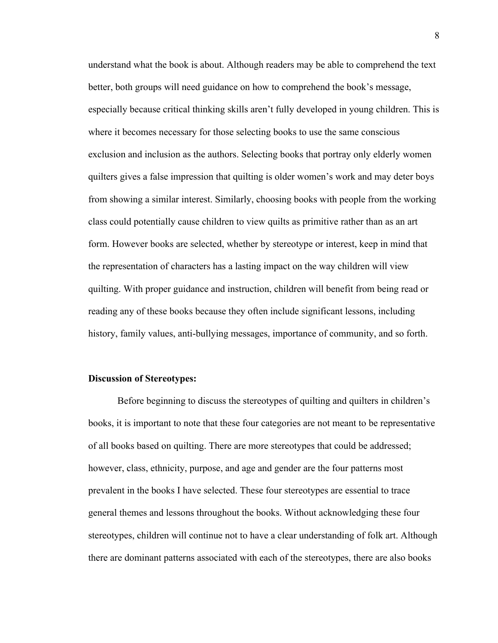understand what the book is about. Although readers may be able to comprehend the text better, both groups will need guidance on how to comprehend the book's message, especially because critical thinking skills aren't fully developed in young children. This is where it becomes necessary for those selecting books to use the same conscious exclusion and inclusion as the authors. Selecting books that portray only elderly women quilters gives a false impression that quilting is older women's work and may deter boys from showing a similar interest. Similarly, choosing books with people from the working class could potentially cause children to view quilts as primitive rather than as an art form. However books are selected, whether by stereotype or interest, keep in mind that the representation of characters has a lasting impact on the way children will view quilting. With proper guidance and instruction, children will benefit from being read or reading any of these books because they often include significant lessons, including history, family values, anti-bullying messages, importance of community, and so forth.

#### **Discussion of Stereotypes:**

Before beginning to discuss the stereotypes of quilting and quilters in children's books, it is important to note that these four categories are not meant to be representative of all books based on quilting. There are more stereotypes that could be addressed; however, class, ethnicity, purpose, and age and gender are the four patterns most prevalent in the books I have selected. These four stereotypes are essential to trace general themes and lessons throughout the books. Without acknowledging these four stereotypes, children will continue not to have a clear understanding of folk art. Although there are dominant patterns associated with each of the stereotypes, there are also books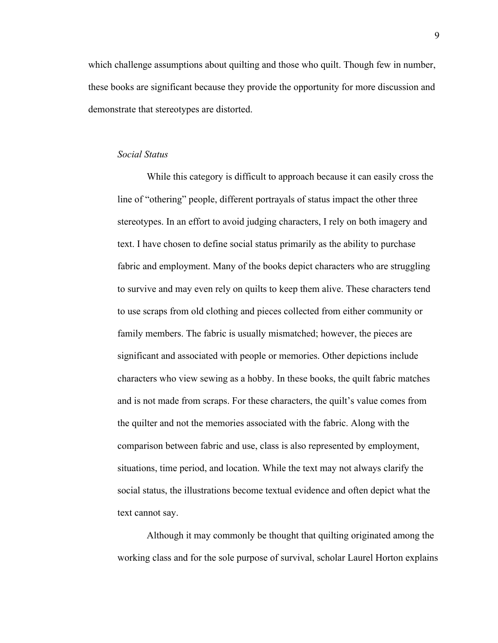which challenge assumptions about quilting and those who quilt. Though few in number, these books are significant because they provide the opportunity for more discussion and demonstrate that stereotypes are distorted.

## *Social Status*

While this category is difficult to approach because it can easily cross the line of "othering" people, different portrayals of status impact the other three stereotypes. In an effort to avoid judging characters, I rely on both imagery and text. I have chosen to define social status primarily as the ability to purchase fabric and employment. Many of the books depict characters who are struggling to survive and may even rely on quilts to keep them alive. These characters tend to use scraps from old clothing and pieces collected from either community or family members. The fabric is usually mismatched; however, the pieces are significant and associated with people or memories. Other depictions include characters who view sewing as a hobby. In these books, the quilt fabric matches and is not made from scraps. For these characters, the quilt's value comes from the quilter and not the memories associated with the fabric. Along with the comparison between fabric and use, class is also represented by employment, situations, time period, and location. While the text may not always clarify the social status, the illustrations become textual evidence and often depict what the text cannot say.

Although it may commonly be thought that quilting originated among the working class and for the sole purpose of survival, scholar Laurel Horton explains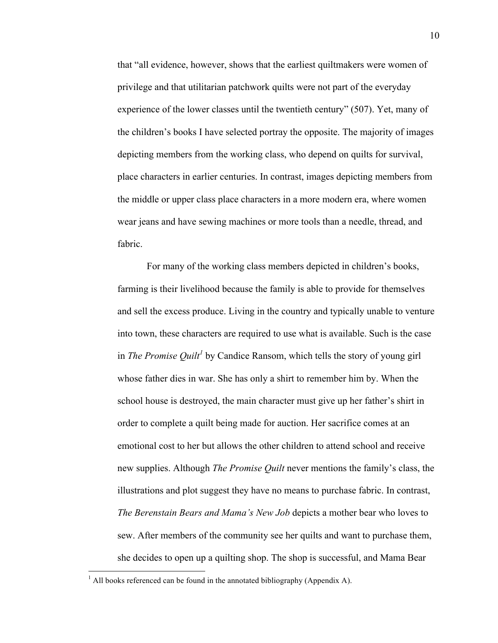that "all evidence, however, shows that the earliest quiltmakers were women of privilege and that utilitarian patchwork quilts were not part of the everyday experience of the lower classes until the twentieth century" (507). Yet, many of the children's books I have selected portray the opposite. The majority of images depicting members from the working class, who depend on quilts for survival, place characters in earlier centuries. In contrast, images depicting members from the middle or upper class place characters in a more modern era, where women wear jeans and have sewing machines or more tools than a needle, thread, and fabric.

For many of the working class members depicted in children's books, farming is their livelihood because the family is able to provide for themselves and sell the excess produce. Living in the country and typically unable to venture into town, these characters are required to use what is available. Such is the case in *The Promise Quilt<sup>1</sup>* by Candice Ransom, which tells the story of young girl whose father dies in war. She has only a shirt to remember him by. When the school house is destroyed, the main character must give up her father's shirt in order to complete a quilt being made for auction. Her sacrifice comes at an emotional cost to her but allows the other children to attend school and receive new supplies. Although *The Promise Quilt* never mentions the family's class, the illustrations and plot suggest they have no means to purchase fabric. In contrast, *The Berenstain Bears and Mama's New Job* depicts a mother bear who loves to sew. After members of the community see her quilts and want to purchase them, she decides to open up a quilting shop. The shop is successful, and Mama Bear

 

<sup>&</sup>lt;sup>1</sup> All books referenced can be found in the annotated bibliography (Appendix A).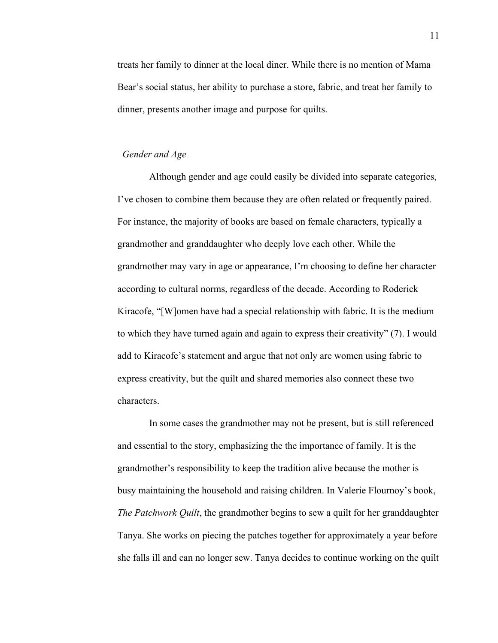treats her family to dinner at the local diner. While there is no mention of Mama Bear's social status, her ability to purchase a store, fabric, and treat her family to dinner, presents another image and purpose for quilts.

#### *Gender and Age*

Although gender and age could easily be divided into separate categories, I've chosen to combine them because they are often related or frequently paired. For instance, the majority of books are based on female characters, typically a grandmother and granddaughter who deeply love each other. While the grandmother may vary in age or appearance, I'm choosing to define her character according to cultural norms, regardless of the decade. According to Roderick Kiracofe, "[W]omen have had a special relationship with fabric. It is the medium to which they have turned again and again to express their creativity" (7). I would add to Kiracofe's statement and argue that not only are women using fabric to express creativity, but the quilt and shared memories also connect these two characters.

In some cases the grandmother may not be present, but is still referenced and essential to the story, emphasizing the the importance of family. It is the grandmother's responsibility to keep the tradition alive because the mother is busy maintaining the household and raising children. In Valerie Flournoy's book, *The Patchwork Quilt*, the grandmother begins to sew a quilt for her granddaughter Tanya. She works on piecing the patches together for approximately a year before she falls ill and can no longer sew. Tanya decides to continue working on the quilt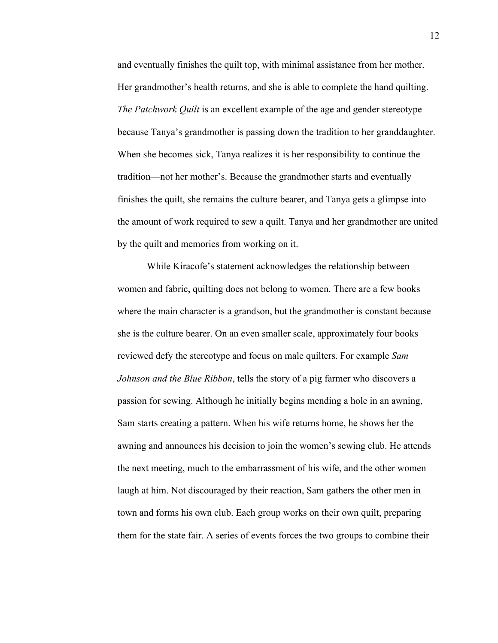and eventually finishes the quilt top, with minimal assistance from her mother. Her grandmother's health returns, and she is able to complete the hand quilting. *The Patchwork Quilt* is an excellent example of the age and gender stereotype because Tanya's grandmother is passing down the tradition to her granddaughter. When she becomes sick, Tanya realizes it is her responsibility to continue the tradition—not her mother's. Because the grandmother starts and eventually finishes the quilt, she remains the culture bearer, and Tanya gets a glimpse into the amount of work required to sew a quilt. Tanya and her grandmother are united by the quilt and memories from working on it.

While Kiracofe's statement acknowledges the relationship between women and fabric, quilting does not belong to women. There are a few books where the main character is a grandson, but the grandmother is constant because she is the culture bearer. On an even smaller scale, approximately four books reviewed defy the stereotype and focus on male quilters. For example *Sam Johnson and the Blue Ribbon*, tells the story of a pig farmer who discovers a passion for sewing. Although he initially begins mending a hole in an awning, Sam starts creating a pattern. When his wife returns home, he shows her the awning and announces his decision to join the women's sewing club. He attends the next meeting, much to the embarrassment of his wife, and the other women laugh at him. Not discouraged by their reaction, Sam gathers the other men in town and forms his own club. Each group works on their own quilt, preparing them for the state fair. A series of events forces the two groups to combine their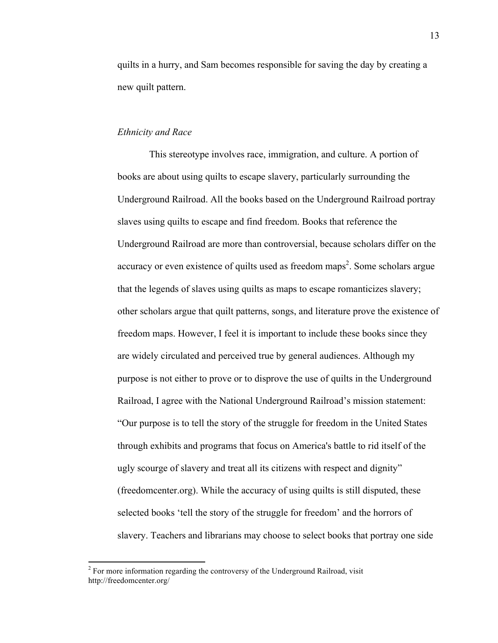quilts in a hurry, and Sam becomes responsible for saving the day by creating a new quilt pattern.

# *Ethnicity and Race*

This stereotype involves race, immigration, and culture. A portion of books are about using quilts to escape slavery, particularly surrounding the Underground Railroad. All the books based on the Underground Railroad portray slaves using quilts to escape and find freedom. Books that reference the Underground Railroad are more than controversial, because scholars differ on the accuracy or even existence of quilts used as freedom maps<sup>2</sup>. Some scholars argue that the legends of slaves using quilts as maps to escape romanticizes slavery; other scholars argue that quilt patterns, songs, and literature prove the existence of freedom maps. However, I feel it is important to include these books since they are widely circulated and perceived true by general audiences. Although my purpose is not either to prove or to disprove the use of quilts in the Underground Railroad, I agree with the National Underground Railroad's mission statement: "Our purpose is to tell the story of the struggle for freedom in the United States through exhibits and programs that focus on America's battle to rid itself of the ugly scourge of slavery and treat all its citizens with respect and dignity" (freedomcenter.org). While the accuracy of using quilts is still disputed, these selected books 'tell the story of the struggle for freedom' and the horrors of slavery. Teachers and librarians may choose to select books that portray one side

<u> 1989 - Jan Samuel Barbara, político establecido de la provincia de la provincia de la provincia de la provinci</u>

 $2 \text{ For more information regarding the controversy of the Underground Railroad, visit}$ http://freedomcenter.org/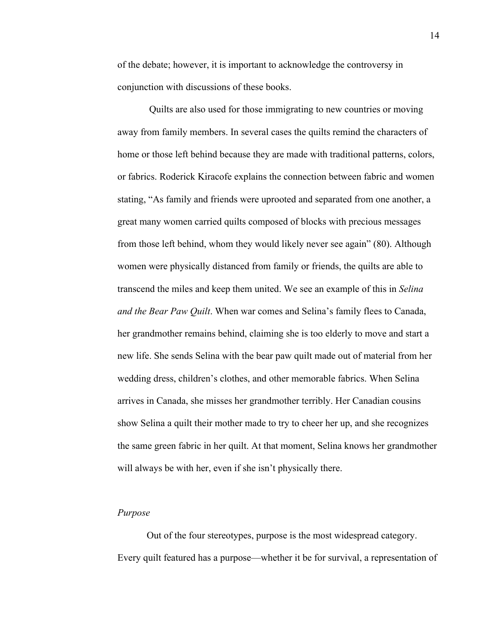of the debate; however, it is important to acknowledge the controversy in conjunction with discussions of these books.

Quilts are also used for those immigrating to new countries or moving away from family members. In several cases the quilts remind the characters of home or those left behind because they are made with traditional patterns, colors, or fabrics. Roderick Kiracofe explains the connection between fabric and women stating, "As family and friends were uprooted and separated from one another, a great many women carried quilts composed of blocks with precious messages from those left behind, whom they would likely never see again" (80). Although women were physically distanced from family or friends, the quilts are able to transcend the miles and keep them united. We see an example of this in *Selina and the Bear Paw Quilt*. When war comes and Selina's family flees to Canada, her grandmother remains behind, claiming she is too elderly to move and start a new life. She sends Selina with the bear paw quilt made out of material from her wedding dress, children's clothes, and other memorable fabrics. When Selina arrives in Canada, she misses her grandmother terribly. Her Canadian cousins show Selina a quilt their mother made to try to cheer her up, and she recognizes the same green fabric in her quilt. At that moment, Selina knows her grandmother will always be with her, even if she isn't physically there.

# *Purpose*

Out of the four stereotypes, purpose is the most widespread category. Every quilt featured has a purpose—whether it be for survival, a representation of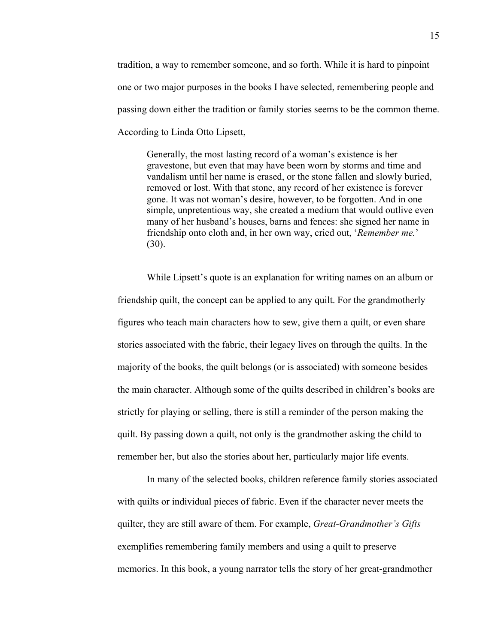tradition, a way to remember someone, and so forth. While it is hard to pinpoint one or two major purposes in the books I have selected, remembering people and passing down either the tradition or family stories seems to be the common theme. According to Linda Otto Lipsett,

Generally, the most lasting record of a woman's existence is her gravestone, but even that may have been worn by storms and time and vandalism until her name is erased, or the stone fallen and slowly buried, removed or lost. With that stone, any record of her existence is forever gone. It was not woman's desire, however, to be forgotten. And in one simple, unpretentious way, she created a medium that would outlive even many of her husband's houses, barns and fences: she signed her name in friendship onto cloth and, in her own way, cried out, '*Remember me.*' (30).

While Lipsett's quote is an explanation for writing names on an album or friendship quilt, the concept can be applied to any quilt. For the grandmotherly figures who teach main characters how to sew, give them a quilt, or even share stories associated with the fabric, their legacy lives on through the quilts. In the majority of the books, the quilt belongs (or is associated) with someone besides the main character. Although some of the quilts described in children's books are strictly for playing or selling, there is still a reminder of the person making the quilt. By passing down a quilt, not only is the grandmother asking the child to remember her, but also the stories about her, particularly major life events.

In many of the selected books, children reference family stories associated with quilts or individual pieces of fabric. Even if the character never meets the quilter, they are still aware of them. For example, *Great-Grandmother's Gifts* exemplifies remembering family members and using a quilt to preserve memories. In this book, a young narrator tells the story of her great-grandmother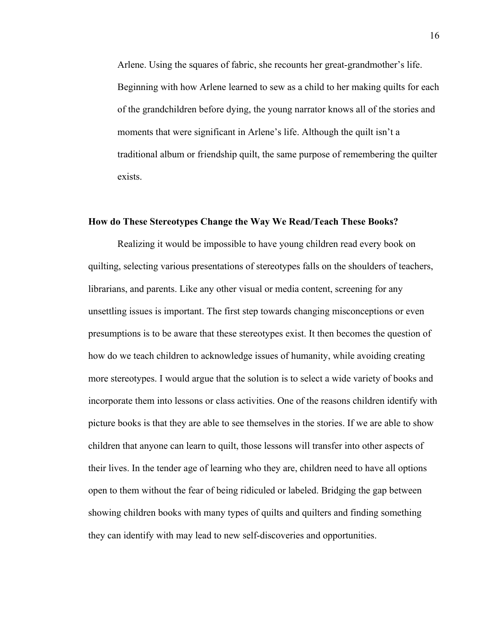Arlene. Using the squares of fabric, she recounts her great-grandmother's life. Beginning with how Arlene learned to sew as a child to her making quilts for each of the grandchildren before dying, the young narrator knows all of the stories and moments that were significant in Arlene's life. Although the quilt isn't a traditional album or friendship quilt, the same purpose of remembering the quilter exists.

#### **How do These Stereotypes Change the Way We Read/Teach These Books?**

Realizing it would be impossible to have young children read every book on quilting, selecting various presentations of stereotypes falls on the shoulders of teachers, librarians, and parents. Like any other visual or media content, screening for any unsettling issues is important. The first step towards changing misconceptions or even presumptions is to be aware that these stereotypes exist. It then becomes the question of how do we teach children to acknowledge issues of humanity, while avoiding creating more stereotypes. I would argue that the solution is to select a wide variety of books and incorporate them into lessons or class activities. One of the reasons children identify with picture books is that they are able to see themselves in the stories. If we are able to show children that anyone can learn to quilt, those lessons will transfer into other aspects of their lives. In the tender age of learning who they are, children need to have all options open to them without the fear of being ridiculed or labeled. Bridging the gap between showing children books with many types of quilts and quilters and finding something they can identify with may lead to new self-discoveries and opportunities.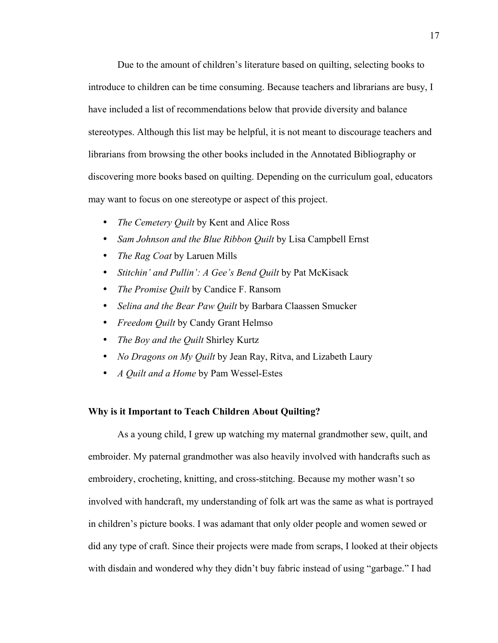Due to the amount of children's literature based on quilting, selecting books to introduce to children can be time consuming. Because teachers and librarians are busy, I have included a list of recommendations below that provide diversity and balance stereotypes. Although this list may be helpful, it is not meant to discourage teachers and librarians from browsing the other books included in the Annotated Bibliography or discovering more books based on quilting. Depending on the curriculum goal, educators may want to focus on one stereotype or aspect of this project.

- *The Cemetery Quilt* by Kent and Alice Ross
- *Sam Johnson and the Blue Ribbon Quilt* by Lisa Campbell Ernst
- *The Rag Coat* by Laruen Mills
- *Stitchin' and Pullin': A Gee's Bend Quilt* by Pat McKisack
- *The Promise Quilt* by Candice F. Ransom
- *Selina and the Bear Paw Quilt* by Barbara Claassen Smucker
- *Freedom Quilt* by Candy Grant Helmso
- *The Boy and the Quilt* Shirley Kurtz
- *No Dragons on My Quilt* by Jean Ray, Ritva, and Lizabeth Laury
- *A Quilt and a Home* by Pam Wessel-Estes

# **Why is it Important to Teach Children About Quilting?**

As a young child, I grew up watching my maternal grandmother sew, quilt, and embroider. My paternal grandmother was also heavily involved with handcrafts such as embroidery, crocheting, knitting, and cross-stitching. Because my mother wasn't so involved with handcraft, my understanding of folk art was the same as what is portrayed in children's picture books. I was adamant that only older people and women sewed or did any type of craft. Since their projects were made from scraps, I looked at their objects with disdain and wondered why they didn't buy fabric instead of using "garbage." I had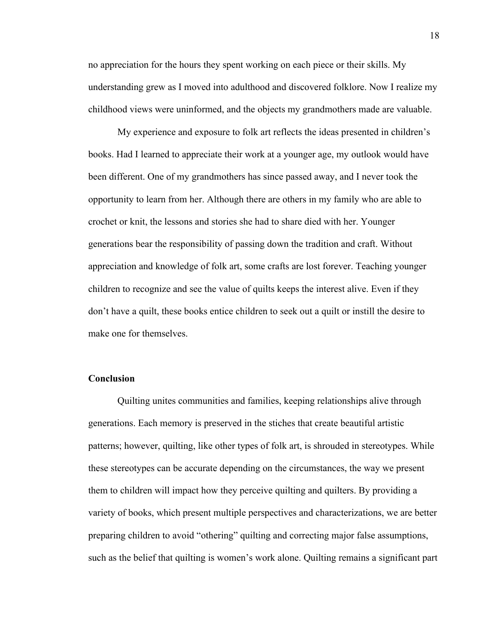no appreciation for the hours they spent working on each piece or their skills. My understanding grew as I moved into adulthood and discovered folklore. Now I realize my childhood views were uninformed, and the objects my grandmothers made are valuable.

My experience and exposure to folk art reflects the ideas presented in children's books. Had I learned to appreciate their work at a younger age, my outlook would have been different. One of my grandmothers has since passed away, and I never took the opportunity to learn from her. Although there are others in my family who are able to crochet or knit, the lessons and stories she had to share died with her. Younger generations bear the responsibility of passing down the tradition and craft. Without appreciation and knowledge of folk art, some crafts are lost forever. Teaching younger children to recognize and see the value of quilts keeps the interest alive. Even if they don't have a quilt, these books entice children to seek out a quilt or instill the desire to make one for themselves.

# **Conclusion**

Quilting unites communities and families, keeping relationships alive through generations. Each memory is preserved in the stiches that create beautiful artistic patterns; however, quilting, like other types of folk art, is shrouded in stereotypes. While these stereotypes can be accurate depending on the circumstances, the way we present them to children will impact how they perceive quilting and quilters. By providing a variety of books, which present multiple perspectives and characterizations, we are better preparing children to avoid "othering" quilting and correcting major false assumptions, such as the belief that quilting is women's work alone. Quilting remains a significant part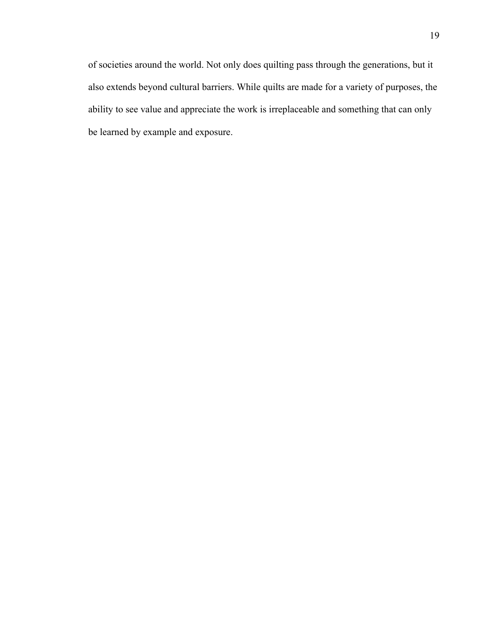of societies around the world. Not only does quilting pass through the generations, but it also extends beyond cultural barriers. While quilts are made for a variety of purposes, the ability to see value and appreciate the work is irreplaceable and something that can only be learned by example and exposure.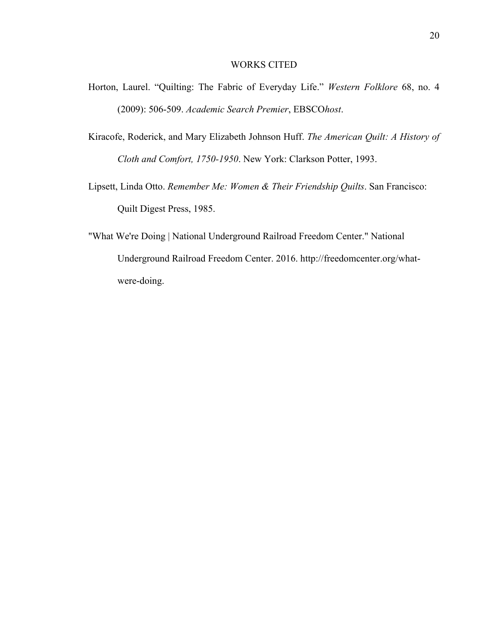### WORKS CITED

- Horton, Laurel. "Quilting: The Fabric of Everyday Life." *Western Folklore* 68, no. 4 (2009): 506-509. *Academic Search Premier*, EBSCO*host*.
- Kiracofe, Roderick, and Mary Elizabeth Johnson Huff. *The American Quilt: A History of Cloth and Comfort, 1750-1950*. New York: Clarkson Potter, 1993.
- Lipsett, Linda Otto. *Remember Me: Women & Their Friendship Quilts*. San Francisco: Quilt Digest Press, 1985.
- "What We're Doing | National Underground Railroad Freedom Center." National Underground Railroad Freedom Center. 2016. http://freedomcenter.org/whatwere-doing.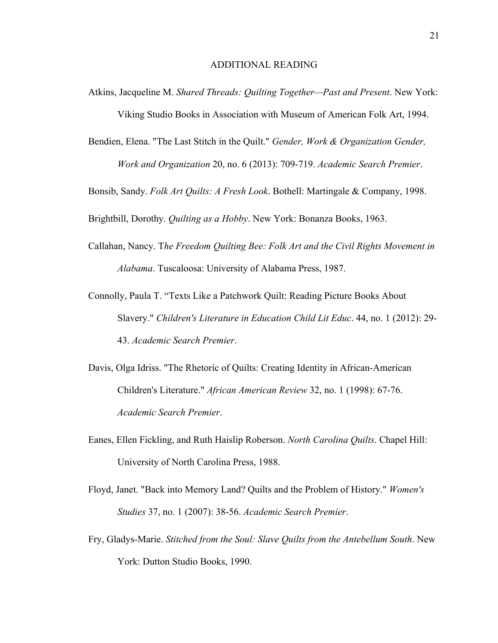Atkins, Jacqueline M. *Shared Threads: Quilting Together—Past and Present*. New York: Viking Studio Books in Association with Museum of American Folk Art, 1994.

Bendien, Elena. "The Last Stitch in the Quilt." *Gender, Work & Organization Gender, Work and Organization* 20, no. 6 (2013): 709-719. *Academic Search Premier*.

Bonsib, Sandy. *Folk Art Quilts: A Fresh Look*. Bothell: Martingale & Company, 1998.

Brightbill, Dorothy. *Quilting as a Hobby*. New York: Bonanza Books, 1963.

- Callahan, Nancy. T*he Freedom Quilting Bee: Folk Art and the Civil Rights Movement in Alabama*. Tuscaloosa: University of Alabama Press, 1987.
- Connolly, Paula T. "Texts Like a Patchwork Quilt: Reading Picture Books About Slavery." *Children's Literature in Education Child Lit Educ*. 44, no. 1 (2012): 29- 43. *Academic Search Premier*.
- Davis, Olga Idriss. "The Rhetoric of Quilts: Creating Identity in African-American Children's Literature." *African American Review* 32, no. 1 (1998): 67-76. *Academic Search Premier*.
- Eanes, Ellen Fickling, and Ruth Haislip Roberson. *North Carolina Quilts*. Chapel Hill: University of North Carolina Press, 1988.
- Floyd, Janet. "Back into Memory Land? Quilts and the Problem of History." *Women's Studies* 37, no. 1 (2007): 38-56. *Academic Search Premier*.
- Fry, Gladys-Marie. *Stitched from the Soul: Slave Quilts from the Antebellum South*. New York: Dutton Studio Books, 1990.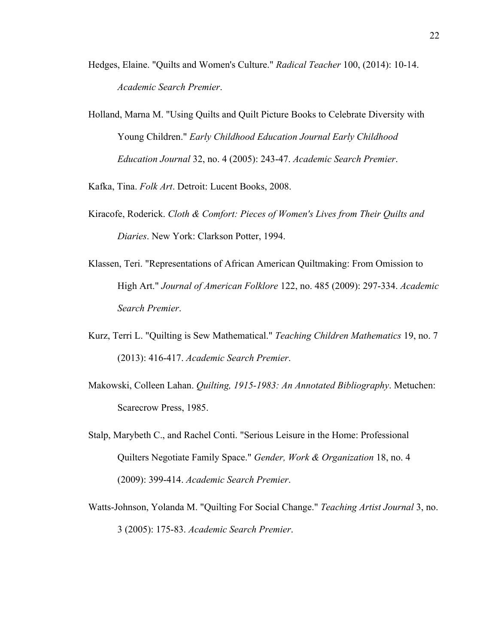- Hedges, Elaine. "Quilts and Women's Culture." *Radical Teacher* 100, (2014): 10-14. *Academic Search Premier*.
- Holland, Marna M. "Using Quilts and Quilt Picture Books to Celebrate Diversity with Young Children." *Early Childhood Education Journal Early Childhood Education Journal* 32, no. 4 (2005): 243-47. *Academic Search Premier*.

Kafka, Tina. *Folk Art*. Detroit: Lucent Books, 2008.

- Kiracofe, Roderick. *Cloth & Comfort: Pieces of Women's Lives from Their Quilts and Diaries*. New York: Clarkson Potter, 1994.
- Klassen, Teri. "Representations of African American Quiltmaking: From Omission to High Art." *Journal of American Folklore* 122, no. 485 (2009): 297-334. *Academic Search Premier*.
- Kurz, Terri L. "Quilting is Sew Mathematical." *Teaching Children Mathematics* 19, no. 7 (2013): 416-417. *Academic Search Premier*.
- Makowski, Colleen Lahan. *Quilting, 1915-1983: An Annotated Bibliography*. Metuchen: Scarecrow Press, 1985.
- Stalp, Marybeth C., and Rachel Conti. "Serious Leisure in the Home: Professional Quilters Negotiate Family Space." *Gender, Work & Organization* 18, no. 4 (2009): 399-414. *Academic Search Premier*.
- Watts-Johnson, Yolanda M. "Quilting For Social Change." *Teaching Artist Journal* 3, no. 3 (2005): 175-83. *Academic Search Premier*.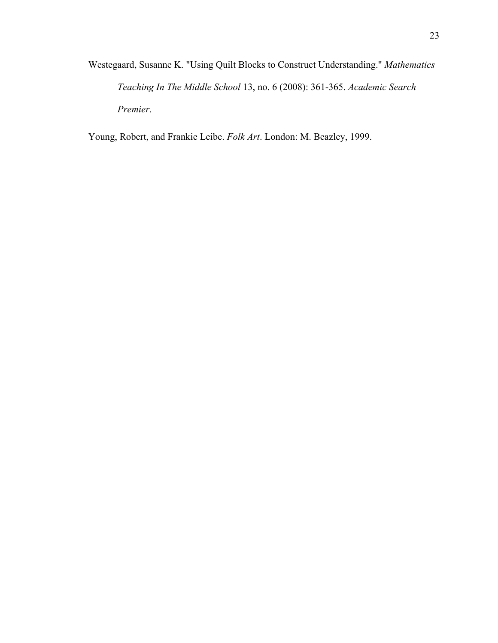Westegaard, Susanne K. "Using Quilt Blocks to Construct Understanding." *Mathematics Teaching In The Middle School* 13, no. 6 (2008): 361-365. *Academic Search Premier*.

Young, Robert, and Frankie Leibe. *Folk Art*. London: M. Beazley, 1999.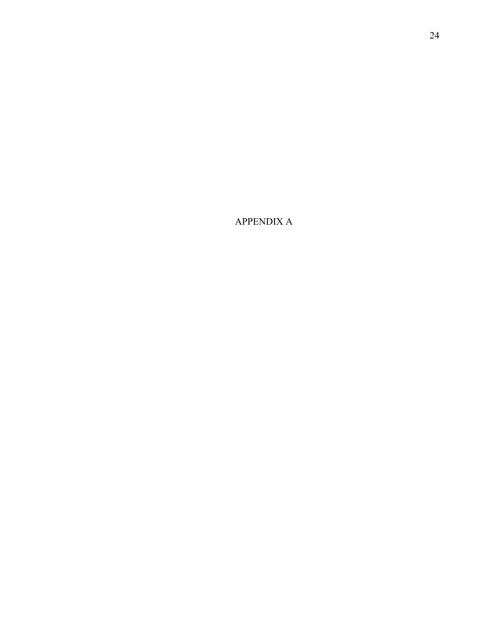APPENDIX A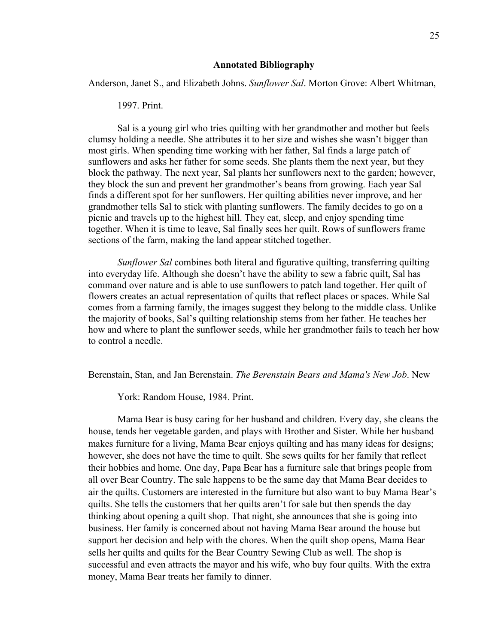#### **Annotated Bibliography**

Anderson, Janet S., and Elizabeth Johns. *Sunflower Sal*. Morton Grove: Albert Whitman,

#### 1997. Print.

Sal is a young girl who tries quilting with her grandmother and mother but feels clumsy holding a needle. She attributes it to her size and wishes she wasn't bigger than most girls. When spending time working with her father, Sal finds a large patch of sunflowers and asks her father for some seeds. She plants them the next year, but they block the pathway. The next year, Sal plants her sunflowers next to the garden; however, they block the sun and prevent her grandmother's beans from growing. Each year Sal finds a different spot for her sunflowers. Her quilting abilities never improve, and her grandmother tells Sal to stick with planting sunflowers. The family decides to go on a picnic and travels up to the highest hill. They eat, sleep, and enjoy spending time together. When it is time to leave, Sal finally sees her quilt. Rows of sunflowers frame sections of the farm, making the land appear stitched together.

*Sunflower Sal* combines both literal and figurative quilting, transferring quilting into everyday life. Although she doesn't have the ability to sew a fabric quilt, Sal has command over nature and is able to use sunflowers to patch land together. Her quilt of flowers creates an actual representation of quilts that reflect places or spaces. While Sal comes from a farming family, the images suggest they belong to the middle class. Unlike the majority of books, Sal's quilting relationship stems from her father. He teaches her how and where to plant the sunflower seeds, while her grandmother fails to teach her how to control a needle.

Berenstain, Stan, and Jan Berenstain. *The Berenstain Bears and Mama's New Job*. New

York: Random House, 1984. Print.

Mama Bear is busy caring for her husband and children. Every day, she cleans the house, tends her vegetable garden, and plays with Brother and Sister. While her husband makes furniture for a living, Mama Bear enjoys quilting and has many ideas for designs; however, she does not have the time to quilt. She sews quilts for her family that reflect their hobbies and home. One day, Papa Bear has a furniture sale that brings people from all over Bear Country. The sale happens to be the same day that Mama Bear decides to air the quilts. Customers are interested in the furniture but also want to buy Mama Bear's quilts. She tells the customers that her quilts aren't for sale but then spends the day thinking about opening a quilt shop. That night, she announces that she is going into business. Her family is concerned about not having Mama Bear around the house but support her decision and help with the chores. When the quilt shop opens, Mama Bear sells her quilts and quilts for the Bear Country Sewing Club as well. The shop is successful and even attracts the mayor and his wife, who buy four quilts. With the extra money, Mama Bear treats her family to dinner.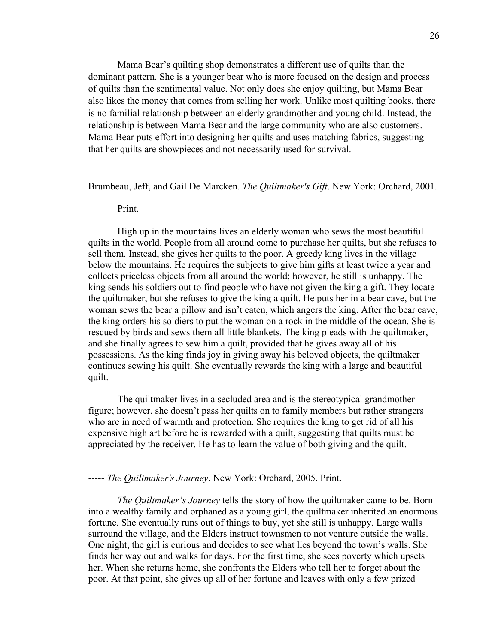Mama Bear's quilting shop demonstrates a different use of quilts than the dominant pattern. She is a younger bear who is more focused on the design and process of quilts than the sentimental value. Not only does she enjoy quilting, but Mama Bear also likes the money that comes from selling her work. Unlike most quilting books, there is no familial relationship between an elderly grandmother and young child. Instead, the relationship is between Mama Bear and the large community who are also customers. Mama Bear puts effort into designing her quilts and uses matching fabrics, suggesting that her quilts are showpieces and not necessarily used for survival.

#### Brumbeau, Jeff, and Gail De Marcken. *The Quiltmaker's Gift*. New York: Orchard, 2001.

#### Print.

High up in the mountains lives an elderly woman who sews the most beautiful quilts in the world. People from all around come to purchase her quilts, but she refuses to sell them. Instead, she gives her quilts to the poor. A greedy king lives in the village below the mountains. He requires the subjects to give him gifts at least twice a year and collects priceless objects from all around the world; however, he still is unhappy. The king sends his soldiers out to find people who have not given the king a gift. They locate the quiltmaker, but she refuses to give the king a quilt. He puts her in a bear cave, but the woman sews the bear a pillow and isn't eaten, which angers the king. After the bear cave, the king orders his soldiers to put the woman on a rock in the middle of the ocean. She is rescued by birds and sews them all little blankets. The king pleads with the quiltmaker, and she finally agrees to sew him a quilt, provided that he gives away all of his possessions. As the king finds joy in giving away his beloved objects, the quiltmaker continues sewing his quilt. She eventually rewards the king with a large and beautiful quilt.

The quiltmaker lives in a secluded area and is the stereotypical grandmother figure; however, she doesn't pass her quilts on to family members but rather strangers who are in need of warmth and protection. She requires the king to get rid of all his expensive high art before he is rewarded with a quilt, suggesting that quilts must be appreciated by the receiver. He has to learn the value of both giving and the quilt.

#### ----- *The Quiltmaker's Journey*. New York: Orchard, 2005. Print.

*The Quiltmaker's Journey* tells the story of how the quiltmaker came to be. Born into a wealthy family and orphaned as a young girl, the quiltmaker inherited an enormous fortune. She eventually runs out of things to buy, yet she still is unhappy. Large walls surround the village, and the Elders instruct townsmen to not venture outside the walls. One night, the girl is curious and decides to see what lies beyond the town's walls. She finds her way out and walks for days. For the first time, she sees poverty which upsets her. When she returns home, she confronts the Elders who tell her to forget about the poor. At that point, she gives up all of her fortune and leaves with only a few prized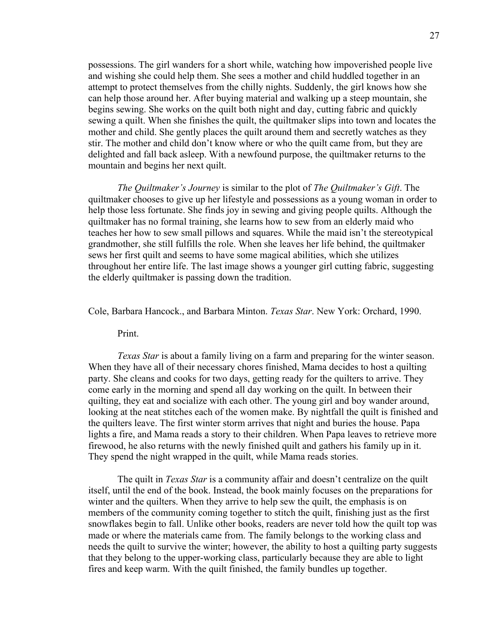possessions. The girl wanders for a short while, watching how impoverished people live and wishing she could help them. She sees a mother and child huddled together in an attempt to protect themselves from the chilly nights. Suddenly, the girl knows how she can help those around her. After buying material and walking up a steep mountain, she begins sewing. She works on the quilt both night and day, cutting fabric and quickly sewing a quilt. When she finishes the quilt, the quiltmaker slips into town and locates the mother and child. She gently places the quilt around them and secretly watches as they stir. The mother and child don't know where or who the quilt came from, but they are delighted and fall back asleep. With a newfound purpose, the quiltmaker returns to the mountain and begins her next quilt.

*The Quiltmaker's Journey* is similar to the plot of *The Quiltmaker's Gift*. The quiltmaker chooses to give up her lifestyle and possessions as a young woman in order to help those less fortunate. She finds joy in sewing and giving people quilts. Although the quiltmaker has no formal training, she learns how to sew from an elderly maid who teaches her how to sew small pillows and squares. While the maid isn't the stereotypical grandmother, she still fulfills the role. When she leaves her life behind, the quiltmaker sews her first quilt and seems to have some magical abilities, which she utilizes throughout her entire life. The last image shows a younger girl cutting fabric, suggesting the elderly quiltmaker is passing down the tradition.

Cole, Barbara Hancock., and Barbara Minton. *Texas Star*. New York: Orchard, 1990.

Print.

*Texas Star* is about a family living on a farm and preparing for the winter season. When they have all of their necessary chores finished, Mama decides to host a quilting party. She cleans and cooks for two days, getting ready for the quilters to arrive. They come early in the morning and spend all day working on the quilt. In between their quilting, they eat and socialize with each other. The young girl and boy wander around, looking at the neat stitches each of the women make. By nightfall the quilt is finished and the quilters leave. The first winter storm arrives that night and buries the house. Papa lights a fire, and Mama reads a story to their children. When Papa leaves to retrieve more firewood, he also returns with the newly finished quilt and gathers his family up in it. They spend the night wrapped in the quilt, while Mama reads stories.

The quilt in *Texas Star* is a community affair and doesn't centralize on the quilt itself, until the end of the book. Instead, the book mainly focuses on the preparations for winter and the quilters. When they arrive to help sew the quilt, the emphasis is on members of the community coming together to stitch the quilt, finishing just as the first snowflakes begin to fall. Unlike other books, readers are never told how the quilt top was made or where the materials came from. The family belongs to the working class and needs the quilt to survive the winter; however, the ability to host a quilting party suggests that they belong to the upper-working class, particularly because they are able to light fires and keep warm. With the quilt finished, the family bundles up together.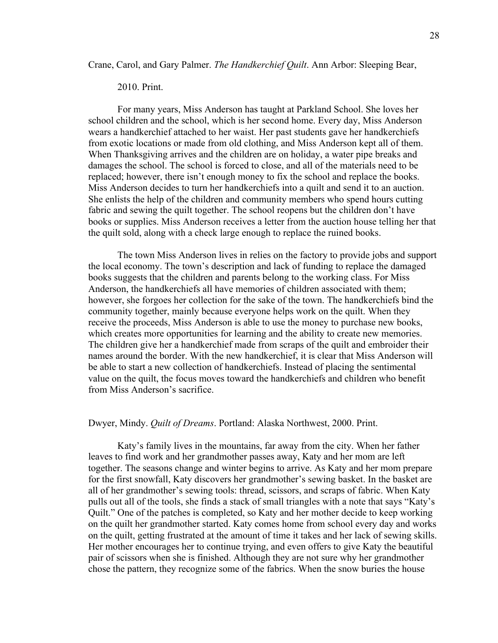Crane, Carol, and Gary Palmer. *The Handkerchief Quilt*. Ann Arbor: Sleeping Bear,

#### 2010. Print.

For many years, Miss Anderson has taught at Parkland School. She loves her school children and the school, which is her second home. Every day, Miss Anderson wears a handkerchief attached to her waist. Her past students gave her handkerchiefs from exotic locations or made from old clothing, and Miss Anderson kept all of them. When Thanksgiving arrives and the children are on holiday, a water pipe breaks and damages the school. The school is forced to close, and all of the materials need to be replaced; however, there isn't enough money to fix the school and replace the books. Miss Anderson decides to turn her handkerchiefs into a quilt and send it to an auction. She enlists the help of the children and community members who spend hours cutting fabric and sewing the quilt together. The school reopens but the children don't have books or supplies. Miss Anderson receives a letter from the auction house telling her that the quilt sold, along with a check large enough to replace the ruined books.

The town Miss Anderson lives in relies on the factory to provide jobs and support the local economy. The town's description and lack of funding to replace the damaged books suggests that the children and parents belong to the working class. For Miss Anderson, the handkerchiefs all have memories of children associated with them; however, she forgoes her collection for the sake of the town. The handkerchiefs bind the community together, mainly because everyone helps work on the quilt. When they receive the proceeds, Miss Anderson is able to use the money to purchase new books, which creates more opportunities for learning and the ability to create new memories. The children give her a handkerchief made from scraps of the quilt and embroider their names around the border. With the new handkerchief, it is clear that Miss Anderson will be able to start a new collection of handkerchiefs. Instead of placing the sentimental value on the quilt, the focus moves toward the handkerchiefs and children who benefit from Miss Anderson's sacrifice.

#### Dwyer, Mindy. *Quilt of Dreams*. Portland: Alaska Northwest, 2000. Print.

Katy's family lives in the mountains, far away from the city. When her father leaves to find work and her grandmother passes away, Katy and her mom are left together. The seasons change and winter begins to arrive. As Katy and her mom prepare for the first snowfall, Katy discovers her grandmother's sewing basket. In the basket are all of her grandmother's sewing tools: thread, scissors, and scraps of fabric. When Katy pulls out all of the tools, she finds a stack of small triangles with a note that says "Katy's Quilt." One of the patches is completed, so Katy and her mother decide to keep working on the quilt her grandmother started. Katy comes home from school every day and works on the quilt, getting frustrated at the amount of time it takes and her lack of sewing skills. Her mother encourages her to continue trying, and even offers to give Katy the beautiful pair of scissors when she is finished. Although they are not sure why her grandmother chose the pattern, they recognize some of the fabrics. When the snow buries the house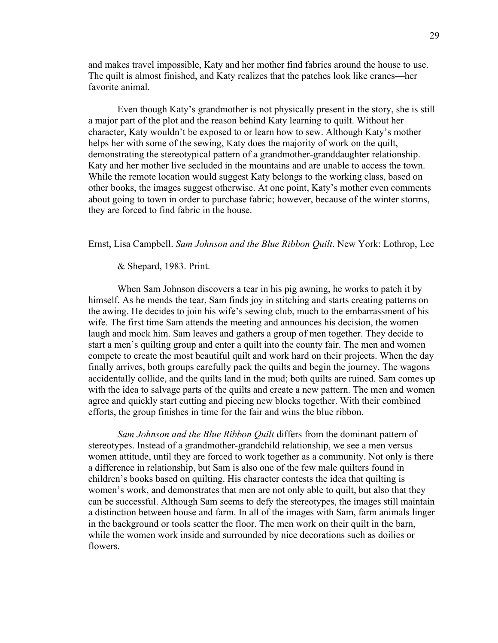and makes travel impossible, Katy and her mother find fabrics around the house to use. The quilt is almost finished, and Katy realizes that the patches look like cranes—her favorite animal.

Even though Katy's grandmother is not physically present in the story, she is still a major part of the plot and the reason behind Katy learning to quilt. Without her character, Katy wouldn't be exposed to or learn how to sew. Although Katy's mother helps her with some of the sewing, Katy does the majority of work on the quilt, demonstrating the stereotypical pattern of a grandmother-granddaughter relationship. Katy and her mother live secluded in the mountains and are unable to access the town. While the remote location would suggest Katy belongs to the working class, based on other books, the images suggest otherwise. At one point, Katy's mother even comments about going to town in order to purchase fabric; however, because of the winter storms, they are forced to find fabric in the house.

Ernst, Lisa Campbell. *Sam Johnson and the Blue Ribbon Quilt*. New York: Lothrop, Lee

& Shepard, 1983. Print.

When Sam Johnson discovers a tear in his pig awning, he works to patch it by himself. As he mends the tear, Sam finds joy in stitching and starts creating patterns on the awing. He decides to join his wife's sewing club, much to the embarrassment of his wife. The first time Sam attends the meeting and announces his decision, the women laugh and mock him. Sam leaves and gathers a group of men together. They decide to start a men's quilting group and enter a quilt into the county fair. The men and women compete to create the most beautiful quilt and work hard on their projects. When the day finally arrives, both groups carefully pack the quilts and begin the journey. The wagons accidentally collide, and the quilts land in the mud; both quilts are ruined. Sam comes up with the idea to salvage parts of the quilts and create a new pattern. The men and women agree and quickly start cutting and piecing new blocks together. With their combined efforts, the group finishes in time for the fair and wins the blue ribbon.

*Sam Johnson and the Blue Ribbon Quilt* differs from the dominant pattern of stereotypes. Instead of a grandmother-grandchild relationship, we see a men versus women attitude, until they are forced to work together as a community. Not only is there a difference in relationship, but Sam is also one of the few male quilters found in children's books based on quilting. His character contests the idea that quilting is women's work, and demonstrates that men are not only able to quilt, but also that they can be successful. Although Sam seems to defy the stereotypes, the images still maintain a distinction between house and farm. In all of the images with Sam, farm animals linger in the background or tools scatter the floor. The men work on their quilt in the barn, while the women work inside and surrounded by nice decorations such as doilies or flowers.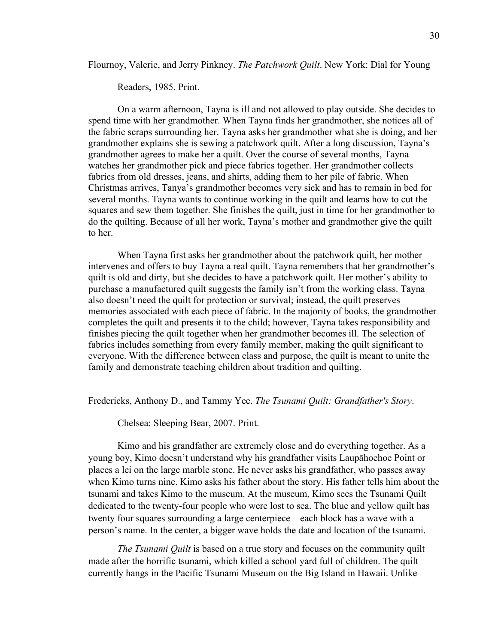Flournoy, Valerie, and Jerry Pinkney. *The Patchwork Quilt*. New York: Dial for Young

Readers, 1985. Print.

On a warm afternoon, Tayna is ill and not allowed to play outside. She decides to spend time with her grandmother. When Tayna finds her grandmother, she notices all of the fabric scraps surrounding her. Tayna asks her grandmother what she is doing, and her grandmother explains she is sewing a patchwork quilt. After a long discussion, Tayna's grandmother agrees to make her a quilt. Over the course of several months, Tayna watches her grandmother pick and piece fabrics together. Her grandmother collects fabrics from old dresses, jeans, and shirts, adding them to her pile of fabric. When Christmas arrives, Tanya's grandmother becomes very sick and has to remain in bed for several months. Tayna wants to continue working in the quilt and learns how to cut the squares and sew them together. She finishes the quilt, just in time for her grandmother to do the quilting. Because of all her work, Tayna's mother and grandmother give the quilt to her.

When Tayna first asks her grandmother about the patchwork quilt, her mother intervenes and offers to buy Tayna a real quilt. Tayna remembers that her grandmother's quilt is old and dirty, but she decides to have a patchwork quilt. Her mother's ability to purchase a manufactured quilt suggests the family isn't from the working class. Tayna also doesn't need the quilt for protection or survival; instead, the quilt preserves memories associated with each piece of fabric. In the majority of books, the grandmother completes the quilt and presents it to the child; however, Tayna takes responsibility and finishes piecing the quilt together when her grandmother becomes ill. The selection of fabrics includes something from every family member, making the quilt significant to everyone. With the difference between class and purpose, the quilt is meant to unite the family and demonstrate teaching children about tradition and quilting.

Fredericks, Anthony D., and Tammy Yee. *The Tsunami Quilt: Grandfather's Story*.

Chelsea: Sleeping Bear, 2007. Print.

Kimo and his grandfather are extremely close and do everything together. As a young boy, Kimo doesn't understand why his grandfather visits Laupāhoehoe Point or places a lei on the large marble stone. He never asks his grandfather, who passes away when Kimo turns nine. Kimo asks his father about the story. His father tells him about the tsunami and takes Kimo to the museum. At the museum, Kimo sees the Tsunami Quilt dedicated to the twenty-four people who were lost to sea. The blue and yellow quilt has twenty four squares surrounding a large centerpiece—each block has a wave with a person's name. In the center, a bigger wave holds the date and location of the tsunami.

*The Tsunami Quilt* is based on a true story and focuses on the community quilt made after the horrific tsunami, which killed a school yard full of children. The quilt currently hangs in the Pacific Tsunami Museum on the Big Island in Hawaii. Unlike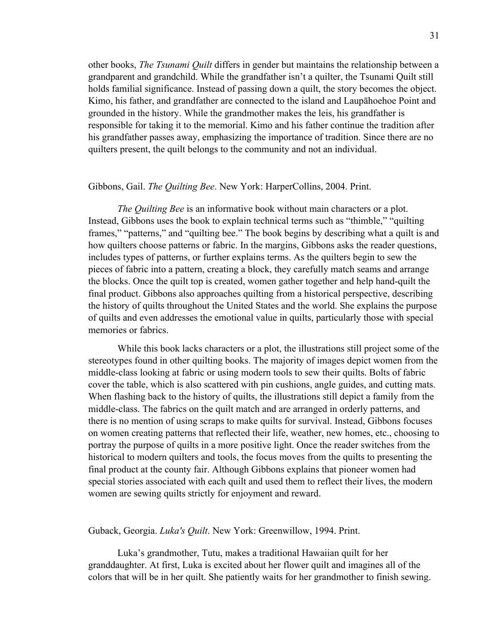other books, *The Tsunami Quilt* differs in gender but maintains the relationship between a grandparent and grandchild. While the grandfather isn't a quilter, the Tsunami Quilt still holds familial significance. Instead of passing down a quilt, the story becomes the object. Kimo, his father, and grandfather are connected to the island and Laupāhoehoe Point and grounded in the history. While the grandmother makes the leis, his grandfather is responsible for taking it to the memorial. Kimo and his father continue the tradition after his grandfather passes away, emphasizing the importance of tradition. Since there are no quilters present, the quilt belongs to the community and not an individual.

# Gibbons, Gail. *The Quilting Bee*. New York: HarperCollins, 2004. Print.

*The Quilting Bee* is an informative book without main characters or a plot. Instead, Gibbons uses the book to explain technical terms such as "thimble," "quilting frames," "patterns," and "quilting bee." The book begins by describing what a quilt is and how quilters choose patterns or fabric. In the margins, Gibbons asks the reader questions, includes types of patterns, or further explains terms. As the quilters begin to sew the pieces of fabric into a pattern, creating a block, they carefully match seams and arrange the blocks. Once the quilt top is created, women gather together and help hand-quilt the final product. Gibbons also approaches quilting from a historical perspective, describing the history of quilts throughout the United States and the world. She explains the purpose of quilts and even addresses the emotional value in quilts, particularly those with special memories or fabrics.

While this book lacks characters or a plot, the illustrations still project some of the stereotypes found in other quilting books. The majority of images depict women from the middle-class looking at fabric or using modern tools to sew their quilts. Bolts of fabric cover the table, which is also scattered with pin cushions, angle guides, and cutting mats. When flashing back to the history of quilts, the illustrations still depict a family from the middle-class. The fabrics on the quilt match and are arranged in orderly patterns, and there is no mention of using scraps to make quilts for survival. Instead, Gibbons focuses on women creating patterns that reflected their life, weather, new homes, etc., choosing to portray the purpose of quilts in a more positive light. Once the reader switches from the historical to modern quilters and tools, the focus moves from the quilts to presenting the final product at the county fair. Although Gibbons explains that pioneer women had special stories associated with each quilt and used them to reflect their lives, the modern women are sewing quilts strictly for enjoyment and reward.

#### Guback, Georgia. *Luka's Quilt*. New York: Greenwillow, 1994. Print.

Luka's grandmother, Tutu, makes a traditional Hawaiian quilt for her granddaughter. At first, Luka is excited about her flower quilt and imagines all of the colors that will be in her quilt. She patiently waits for her grandmother to finish sewing.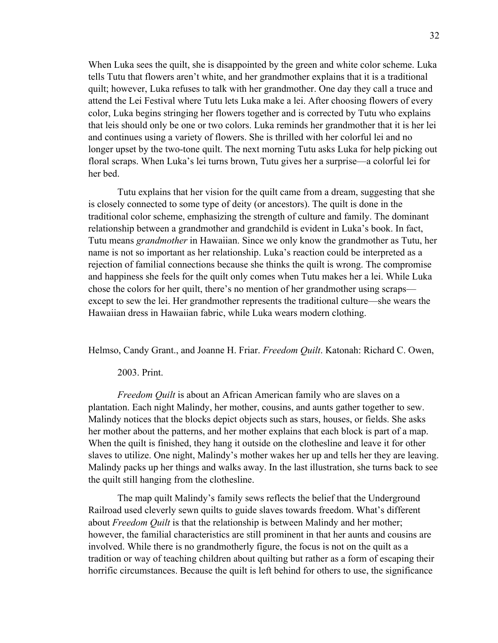When Luka sees the quilt, she is disappointed by the green and white color scheme. Luka tells Tutu that flowers aren't white, and her grandmother explains that it is a traditional quilt; however, Luka refuses to talk with her grandmother. One day they call a truce and attend the Lei Festival where Tutu lets Luka make a lei. After choosing flowers of every color, Luka begins stringing her flowers together and is corrected by Tutu who explains that leis should only be one or two colors. Luka reminds her grandmother that it is her lei and continues using a variety of flowers. She is thrilled with her colorful lei and no longer upset by the two-tone quilt. The next morning Tutu asks Luka for help picking out floral scraps. When Luka's lei turns brown, Tutu gives her a surprise—a colorful lei for her bed.

Tutu explains that her vision for the quilt came from a dream, suggesting that she is closely connected to some type of deity (or ancestors). The quilt is done in the traditional color scheme, emphasizing the strength of culture and family. The dominant relationship between a grandmother and grandchild is evident in Luka's book. In fact, Tutu means *grandmother* in Hawaiian. Since we only know the grandmother as Tutu, her name is not so important as her relationship. Luka's reaction could be interpreted as a rejection of familial connections because she thinks the quilt is wrong. The compromise and happiness she feels for the quilt only comes when Tutu makes her a lei. While Luka chose the colors for her quilt, there's no mention of her grandmother using scraps except to sew the lei. Her grandmother represents the traditional culture—she wears the Hawaiian dress in Hawaiian fabric, while Luka wears modern clothing.

Helmso, Candy Grant., and Joanne H. Friar. *Freedom Quilt*. Katonah: Richard C. Owen,

### 2003. Print.

*Freedom Quilt* is about an African American family who are slaves on a plantation. Each night Malindy, her mother, cousins, and aunts gather together to sew. Malindy notices that the blocks depict objects such as stars, houses, or fields. She asks her mother about the patterns, and her mother explains that each block is part of a map. When the quilt is finished, they hang it outside on the clothesline and leave it for other slaves to utilize. One night, Malindy's mother wakes her up and tells her they are leaving. Malindy packs up her things and walks away. In the last illustration, she turns back to see the quilt still hanging from the clothesline.

The map quilt Malindy's family sews reflects the belief that the Underground Railroad used cleverly sewn quilts to guide slaves towards freedom. What's different about *Freedom Quilt* is that the relationship is between Malindy and her mother; however, the familial characteristics are still prominent in that her aunts and cousins are involved. While there is no grandmotherly figure, the focus is not on the quilt as a tradition or way of teaching children about quilting but rather as a form of escaping their horrific circumstances. Because the quilt is left behind for others to use, the significance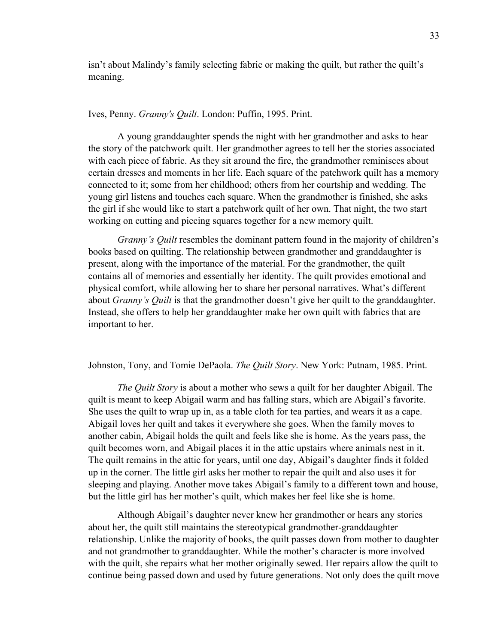isn't about Malindy's family selecting fabric or making the quilt, but rather the quilt's meaning.

# Ives, Penny. *Granny's Quilt*. London: Puffin, 1995. Print.

A young granddaughter spends the night with her grandmother and asks to hear the story of the patchwork quilt. Her grandmother agrees to tell her the stories associated with each piece of fabric. As they sit around the fire, the grandmother reminisces about certain dresses and moments in her life. Each square of the patchwork quilt has a memory connected to it; some from her childhood; others from her courtship and wedding. The young girl listens and touches each square. When the grandmother is finished, she asks the girl if she would like to start a patchwork quilt of her own. That night, the two start working on cutting and piecing squares together for a new memory quilt.

*Granny's Quilt* resembles the dominant pattern found in the majority of children's books based on quilting. The relationship between grandmother and granddaughter is present, along with the importance of the material. For the grandmother, the quilt contains all of memories and essentially her identity. The quilt provides emotional and physical comfort, while allowing her to share her personal narratives. What's different about *Granny's Quilt* is that the grandmother doesn't give her quilt to the granddaughter. Instead, she offers to help her granddaughter make her own quilt with fabrics that are important to her.

#### Johnston, Tony, and Tomie DePaola. *The Quilt Story*. New York: Putnam, 1985. Print.

*The Quilt Story* is about a mother who sews a quilt for her daughter Abigail. The quilt is meant to keep Abigail warm and has falling stars, which are Abigail's favorite. She uses the quilt to wrap up in, as a table cloth for tea parties, and wears it as a cape. Abigail loves her quilt and takes it everywhere she goes. When the family moves to another cabin, Abigail holds the quilt and feels like she is home. As the years pass, the quilt becomes worn, and Abigail places it in the attic upstairs where animals nest in it. The quilt remains in the attic for years, until one day, Abigail's daughter finds it folded up in the corner. The little girl asks her mother to repair the quilt and also uses it for sleeping and playing. Another move takes Abigail's family to a different town and house, but the little girl has her mother's quilt, which makes her feel like she is home.

Although Abigail's daughter never knew her grandmother or hears any stories about her, the quilt still maintains the stereotypical grandmother-granddaughter relationship. Unlike the majority of books, the quilt passes down from mother to daughter and not grandmother to granddaughter. While the mother's character is more involved with the quilt, she repairs what her mother originally sewed. Her repairs allow the quilt to continue being passed down and used by future generations. Not only does the quilt move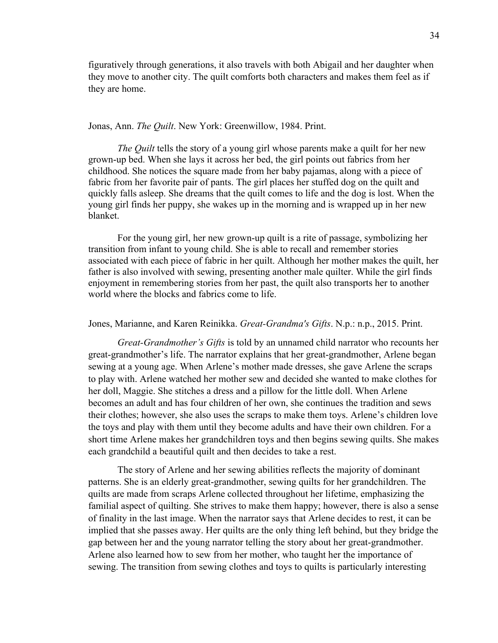figuratively through generations, it also travels with both Abigail and her daughter when they move to another city. The quilt comforts both characters and makes them feel as if they are home.

#### Jonas, Ann. *The Quilt*. New York: Greenwillow, 1984. Print.

*The Quilt* tells the story of a young girl whose parents make a quilt for her new grown-up bed. When she lays it across her bed, the girl points out fabrics from her childhood. She notices the square made from her baby pajamas, along with a piece of fabric from her favorite pair of pants. The girl places her stuffed dog on the quilt and quickly falls asleep. She dreams that the quilt comes to life and the dog is lost. When the young girl finds her puppy, she wakes up in the morning and is wrapped up in her new blanket.

For the young girl, her new grown-up quilt is a rite of passage, symbolizing her transition from infant to young child. She is able to recall and remember stories associated with each piece of fabric in her quilt. Although her mother makes the quilt, her father is also involved with sewing, presenting another male quilter. While the girl finds enjoyment in remembering stories from her past, the quilt also transports her to another world where the blocks and fabrics come to life.

## Jones, Marianne, and Karen Reinikka. *Great-Grandma's Gifts*. N.p.: n.p., 2015. Print.

*Great-Grandmother's Gifts* is told by an unnamed child narrator who recounts her great-grandmother's life. The narrator explains that her great-grandmother, Arlene began sewing at a young age. When Arlene's mother made dresses, she gave Arlene the scraps to play with. Arlene watched her mother sew and decided she wanted to make clothes for her doll, Maggie. She stitches a dress and a pillow for the little doll. When Arlene becomes an adult and has four children of her own, she continues the tradition and sews their clothes; however, she also uses the scraps to make them toys. Arlene's children love the toys and play with them until they become adults and have their own children. For a short time Arlene makes her grandchildren toys and then begins sewing quilts. She makes each grandchild a beautiful quilt and then decides to take a rest.

The story of Arlene and her sewing abilities reflects the majority of dominant patterns. She is an elderly great-grandmother, sewing quilts for her grandchildren. The quilts are made from scraps Arlene collected throughout her lifetime, emphasizing the familial aspect of quilting. She strives to make them happy; however, there is also a sense of finality in the last image. When the narrator says that Arlene decides to rest, it can be implied that she passes away. Her quilts are the only thing left behind, but they bridge the gap between her and the young narrator telling the story about her great-grandmother. Arlene also learned how to sew from her mother, who taught her the importance of sewing. The transition from sewing clothes and toys to quilts is particularly interesting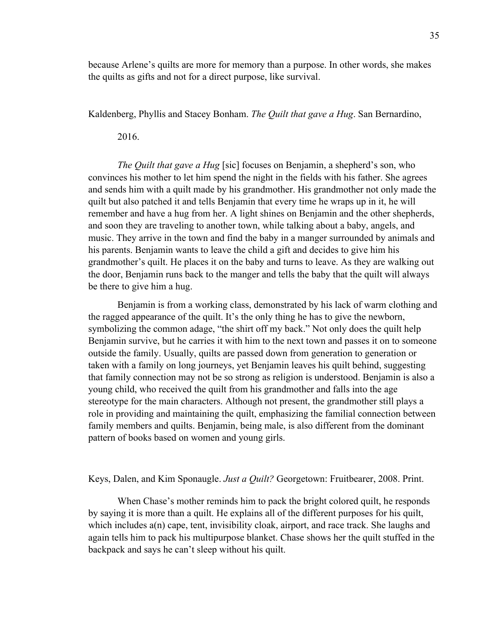because Arlene's quilts are more for memory than a purpose. In other words, she makes the quilts as gifts and not for a direct purpose, like survival.

Kaldenberg, Phyllis and Stacey Bonham. *The Quilt that gave a Hug*. San Bernardino,

2016.

*The Quilt that gave a Hug* [sic] focuses on Benjamin, a shepherd's son, who convinces his mother to let him spend the night in the fields with his father. She agrees and sends him with a quilt made by his grandmother. His grandmother not only made the quilt but also patched it and tells Benjamin that every time he wraps up in it, he will remember and have a hug from her. A light shines on Benjamin and the other shepherds, and soon they are traveling to another town, while talking about a baby, angels, and music. They arrive in the town and find the baby in a manger surrounded by animals and his parents. Benjamin wants to leave the child a gift and decides to give him his grandmother's quilt. He places it on the baby and turns to leave. As they are walking out the door, Benjamin runs back to the manger and tells the baby that the quilt will always be there to give him a hug.

Benjamin is from a working class, demonstrated by his lack of warm clothing and the ragged appearance of the quilt. It's the only thing he has to give the newborn, symbolizing the common adage, "the shirt off my back." Not only does the quilt help Benjamin survive, but he carries it with him to the next town and passes it on to someone outside the family. Usually, quilts are passed down from generation to generation or taken with a family on long journeys, yet Benjamin leaves his quilt behind, suggesting that family connection may not be so strong as religion is understood. Benjamin is also a young child, who received the quilt from his grandmother and falls into the age stereotype for the main characters. Although not present, the grandmother still plays a role in providing and maintaining the quilt, emphasizing the familial connection between family members and quilts. Benjamin, being male, is also different from the dominant pattern of books based on women and young girls.

Keys, Dalen, and Kim Sponaugle. *Just a Quilt?* Georgetown: Fruitbearer, 2008. Print.

When Chase's mother reminds him to pack the bright colored quilt, he responds by saying it is more than a quilt. He explains all of the different purposes for his quilt, which includes a(n) cape, tent, invisibility cloak, airport, and race track. She laughs and again tells him to pack his multipurpose blanket. Chase shows her the quilt stuffed in the backpack and says he can't sleep without his quilt.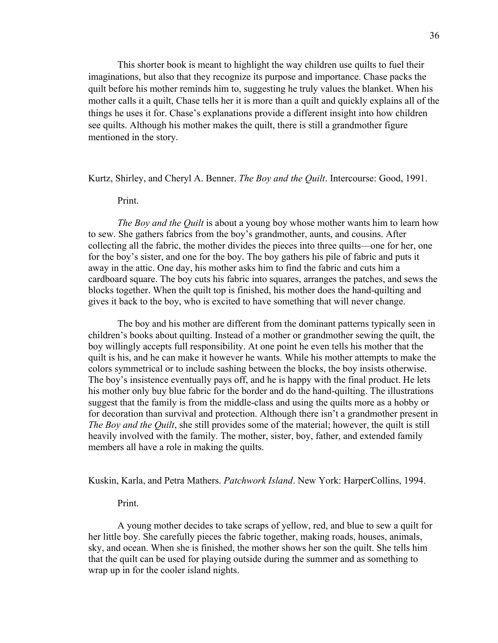This shorter book is meant to highlight the way children use quilts to fuel their imaginations, but also that they recognize its purpose and importance. Chase packs the quilt before his mother reminds him to, suggesting he truly values the blanket. When his mother calls it a quilt, Chase tells her it is more than a quilt and quickly explains all of the things he uses it for. Chase's explanations provide a different insight into how children see quilts. Although his mother makes the quilt, there is still a grandmother figure mentioned in the story.

Kurtz, Shirley, and Cheryl A. Benner. *The Boy and the Quilt*. Intercourse: Good, 1991.

# Print.

*The Boy and the Quilt* is about a young boy whose mother wants him to learn how to sew. She gathers fabrics from the boy's grandmother, aunts, and cousins. After collecting all the fabric, the mother divides the pieces into three quilts—one for her, one for the boy's sister, and one for the boy. The boy gathers his pile of fabric and puts it away in the attic. One day, his mother asks him to find the fabric and cuts him a cardboard square. The boy cuts his fabric into squares, arranges the patches, and sews the blocks together. When the quilt top is finished, his mother does the hand-quilting and gives it back to the boy, who is excited to have something that will never change.

The boy and his mother are different from the dominant patterns typically seen in children's books about quilting. Instead of a mother or grandmother sewing the quilt, the boy willingly accepts full responsibility. At one point he even tells his mother that the quilt is his, and he can make it however he wants. While his mother attempts to make the colors symmetrical or to include sashing between the blocks, the boy insists otherwise. The boy's insistence eventually pays off, and he is happy with the final product. He lets his mother only buy blue fabric for the border and do the hand-quilting. The illustrations suggest that the family is from the middle-class and using the quilts more as a hobby or for decoration than survival and protection. Although there isn't a grandmother present in *The Boy and the Quilt*, she still provides some of the material; however, the quilt is still heavily involved with the family. The mother, sister, boy, father, and extended family members all have a role in making the quilts.

Kuskin, Karla, and Petra Mathers. *Patchwork Island*. New York: HarperCollins, 1994.

#### Print.

A young mother decides to take scraps of yellow, red, and blue to sew a quilt for her little boy. She carefully pieces the fabric together, making roads, houses, animals, sky, and ocean. When she is finished, the mother shows her son the quilt. She tells him that the quilt can be used for playing outside during the summer and as something to wrap up in for the cooler island nights.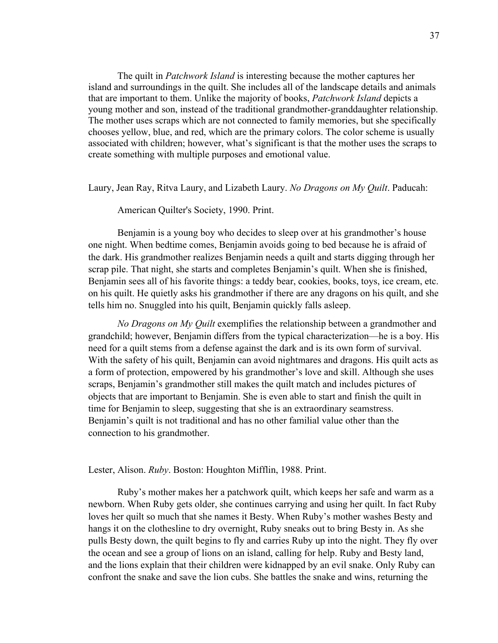The quilt in *Patchwork Island* is interesting because the mother captures her island and surroundings in the quilt. She includes all of the landscape details and animals that are important to them. Unlike the majority of books, *Patchwork Island* depicts a young mother and son, instead of the traditional grandmother-granddaughter relationship. The mother uses scraps which are not connected to family memories, but she specifically chooses yellow, blue, and red, which are the primary colors. The color scheme is usually associated with children; however, what's significant is that the mother uses the scraps to create something with multiple purposes and emotional value.

Laury, Jean Ray, Ritva Laury, and Lizabeth Laury. *No Dragons on My Quilt*. Paducah:

American Quilter's Society, 1990. Print.

Benjamin is a young boy who decides to sleep over at his grandmother's house one night. When bedtime comes, Benjamin avoids going to bed because he is afraid of the dark. His grandmother realizes Benjamin needs a quilt and starts digging through her scrap pile. That night, she starts and completes Benjamin's quilt. When she is finished, Benjamin sees all of his favorite things: a teddy bear, cookies, books, toys, ice cream, etc. on his quilt. He quietly asks his grandmother if there are any dragons on his quilt, and she tells him no. Snuggled into his quilt, Benjamin quickly falls asleep.

*No Dragons on My Quilt* exemplifies the relationship between a grandmother and grandchild; however, Benjamin differs from the typical characterization—he is a boy. His need for a quilt stems from a defense against the dark and is its own form of survival. With the safety of his quilt, Benjamin can avoid nightmares and dragons. His quilt acts as a form of protection, empowered by his grandmother's love and skill. Although she uses scraps, Benjamin's grandmother still makes the quilt match and includes pictures of objects that are important to Benjamin. She is even able to start and finish the quilt in time for Benjamin to sleep, suggesting that she is an extraordinary seamstress. Benjamin's quilt is not traditional and has no other familial value other than the connection to his grandmother.

Lester, Alison. *Ruby*. Boston: Houghton Mifflin, 1988. Print.

Ruby's mother makes her a patchwork quilt, which keeps her safe and warm as a newborn. When Ruby gets older, she continues carrying and using her quilt. In fact Ruby loves her quilt so much that she names it Besty. When Ruby's mother washes Besty and hangs it on the clothesline to dry overnight, Ruby sneaks out to bring Besty in. As she pulls Besty down, the quilt begins to fly and carries Ruby up into the night. They fly over the ocean and see a group of lions on an island, calling for help. Ruby and Besty land, and the lions explain that their children were kidnapped by an evil snake. Only Ruby can confront the snake and save the lion cubs. She battles the snake and wins, returning the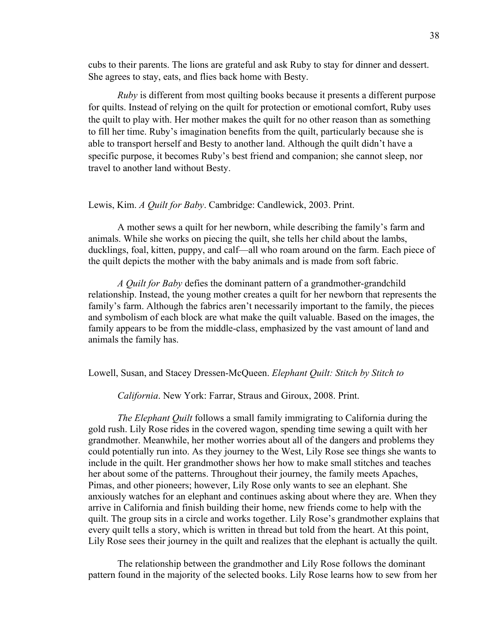cubs to their parents. The lions are grateful and ask Ruby to stay for dinner and dessert. She agrees to stay, eats, and flies back home with Besty.

*Ruby* is different from most quilting books because it presents a different purpose for quilts. Instead of relying on the quilt for protection or emotional comfort, Ruby uses the quilt to play with. Her mother makes the quilt for no other reason than as something to fill her time. Ruby's imagination benefits from the quilt, particularly because she is able to transport herself and Besty to another land. Although the quilt didn't have a specific purpose, it becomes Ruby's best friend and companion; she cannot sleep, nor travel to another land without Besty.

#### Lewis, Kim. *A Quilt for Baby*. Cambridge: Candlewick, 2003. Print.

A mother sews a quilt for her newborn, while describing the family's farm and animals. While she works on piecing the quilt, she tells her child about the lambs, ducklings, foal, kitten, puppy, and calf—all who roam around on the farm. Each piece of the quilt depicts the mother with the baby animals and is made from soft fabric.

*A Quilt for Baby* defies the dominant pattern of a grandmother-grandchild relationship. Instead, the young mother creates a quilt for her newborn that represents the family's farm. Although the fabrics aren't necessarily important to the family, the pieces and symbolism of each block are what make the quilt valuable. Based on the images, the family appears to be from the middle-class, emphasized by the vast amount of land and animals the family has.

Lowell, Susan, and Stacey Dressen-McQueen. *Elephant Quilt: Stitch by Stitch to* 

*California*. New York: Farrar, Straus and Giroux, 2008. Print.

*The Elephant Quilt* follows a small family immigrating to California during the gold rush. Lily Rose rides in the covered wagon, spending time sewing a quilt with her grandmother. Meanwhile, her mother worries about all of the dangers and problems they could potentially run into. As they journey to the West, Lily Rose see things she wants to include in the quilt. Her grandmother shows her how to make small stitches and teaches her about some of the patterns. Throughout their journey, the family meets Apaches, Pimas, and other pioneers; however, Lily Rose only wants to see an elephant. She anxiously watches for an elephant and continues asking about where they are. When they arrive in California and finish building their home, new friends come to help with the quilt. The group sits in a circle and works together. Lily Rose's grandmother explains that every quilt tells a story, which is written in thread but told from the heart. At this point, Lily Rose sees their journey in the quilt and realizes that the elephant is actually the quilt.

The relationship between the grandmother and Lily Rose follows the dominant pattern found in the majority of the selected books. Lily Rose learns how to sew from her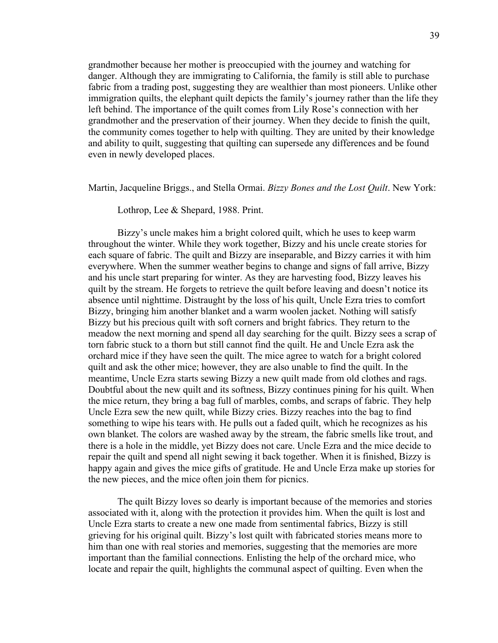grandmother because her mother is preoccupied with the journey and watching for danger. Although they are immigrating to California, the family is still able to purchase fabric from a trading post, suggesting they are wealthier than most pioneers. Unlike other immigration quilts, the elephant quilt depicts the family's journey rather than the life they left behind. The importance of the quilt comes from Lily Rose's connection with her grandmother and the preservation of their journey. When they decide to finish the quilt, the community comes together to help with quilting. They are united by their knowledge and ability to quilt, suggesting that quilting can supersede any differences and be found even in newly developed places.

Martin, Jacqueline Briggs., and Stella Ormai. *Bizzy Bones and the Lost Quilt*. New York:

Lothrop, Lee & Shepard, 1988. Print.

Bizzy's uncle makes him a bright colored quilt, which he uses to keep warm throughout the winter. While they work together, Bizzy and his uncle create stories for each square of fabric. The quilt and Bizzy are inseparable, and Bizzy carries it with him everywhere. When the summer weather begins to change and signs of fall arrive, Bizzy and his uncle start preparing for winter. As they are harvesting food, Bizzy leaves his quilt by the stream. He forgets to retrieve the quilt before leaving and doesn't notice its absence until nighttime. Distraught by the loss of his quilt, Uncle Ezra tries to comfort Bizzy, bringing him another blanket and a warm woolen jacket. Nothing will satisfy Bizzy but his precious quilt with soft corners and bright fabrics. They return to the meadow the next morning and spend all day searching for the quilt. Bizzy sees a scrap of torn fabric stuck to a thorn but still cannot find the quilt. He and Uncle Ezra ask the orchard mice if they have seen the quilt. The mice agree to watch for a bright colored quilt and ask the other mice; however, they are also unable to find the quilt. In the meantime, Uncle Ezra starts sewing Bizzy a new quilt made from old clothes and rags. Doubtful about the new quilt and its softness, Bizzy continues pining for his quilt. When the mice return, they bring a bag full of marbles, combs, and scraps of fabric. They help Uncle Ezra sew the new quilt, while Bizzy cries. Bizzy reaches into the bag to find something to wipe his tears with. He pulls out a faded quilt, which he recognizes as his own blanket. The colors are washed away by the stream, the fabric smells like trout, and there is a hole in the middle, yet Bizzy does not care. Uncle Ezra and the mice decide to repair the quilt and spend all night sewing it back together. When it is finished, Bizzy is happy again and gives the mice gifts of gratitude. He and Uncle Erza make up stories for the new pieces, and the mice often join them for picnics.

The quilt Bizzy loves so dearly is important because of the memories and stories associated with it, along with the protection it provides him. When the quilt is lost and Uncle Ezra starts to create a new one made from sentimental fabrics, Bizzy is still grieving for his original quilt. Bizzy's lost quilt with fabricated stories means more to him than one with real stories and memories, suggesting that the memories are more important than the familial connections. Enlisting the help of the orchard mice, who locate and repair the quilt, highlights the communal aspect of quilting. Even when the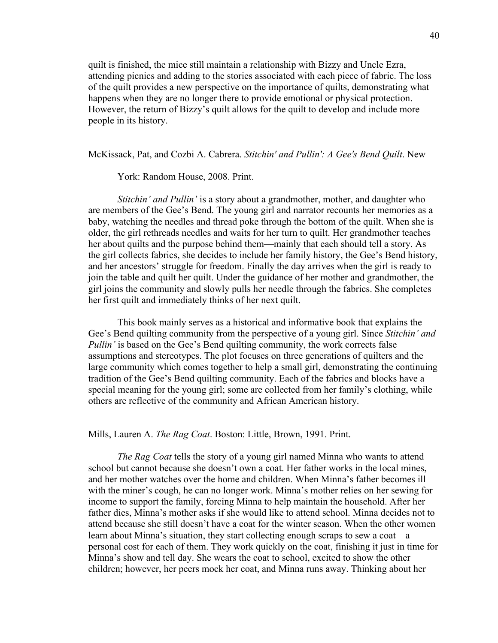quilt is finished, the mice still maintain a relationship with Bizzy and Uncle Ezra, attending picnics and adding to the stories associated with each piece of fabric. The loss of the quilt provides a new perspective on the importance of quilts, demonstrating what happens when they are no longer there to provide emotional or physical protection. However, the return of Bizzy's quilt allows for the quilt to develop and include more people in its history.

McKissack, Pat, and Cozbi A. Cabrera. *Stitchin' and Pullin': A Gee's Bend Quilt*. New

York: Random House, 2008. Print.

*Stitchin' and Pullin'* is a story about a grandmother, mother, and daughter who are members of the Gee's Bend. The young girl and narrator recounts her memories as a baby, watching the needles and thread poke through the bottom of the quilt. When she is older, the girl rethreads needles and waits for her turn to quilt. Her grandmother teaches her about quilts and the purpose behind them—mainly that each should tell a story. As the girl collects fabrics, she decides to include her family history, the Gee's Bend history, and her ancestors' struggle for freedom. Finally the day arrives when the girl is ready to join the table and quilt her quilt. Under the guidance of her mother and grandmother, the girl joins the community and slowly pulls her needle through the fabrics. She completes her first quilt and immediately thinks of her next quilt.

This book mainly serves as a historical and informative book that explains the Gee's Bend quilting community from the perspective of a young girl. Since *Stitchin' and Pullin'* is based on the Gee's Bend quilting community, the work corrects false assumptions and stereotypes. The plot focuses on three generations of quilters and the large community which comes together to help a small girl, demonstrating the continuing tradition of the Gee's Bend quilting community. Each of the fabrics and blocks have a special meaning for the young girl; some are collected from her family's clothing, while others are reflective of the community and African American history.

Mills, Lauren A. *The Rag Coat*. Boston: Little, Brown, 1991. Print.

*The Rag Coat* tells the story of a young girl named Minna who wants to attend school but cannot because she doesn't own a coat. Her father works in the local mines, and her mother watches over the home and children. When Minna's father becomes ill with the miner's cough, he can no longer work. Minna's mother relies on her sewing for income to support the family, forcing Minna to help maintain the household. After her father dies, Minna's mother asks if she would like to attend school. Minna decides not to attend because she still doesn't have a coat for the winter season. When the other women learn about Minna's situation, they start collecting enough scraps to sew a coat—a personal cost for each of them. They work quickly on the coat, finishing it just in time for Minna's show and tell day. She wears the coat to school, excited to show the other children; however, her peers mock her coat, and Minna runs away. Thinking about her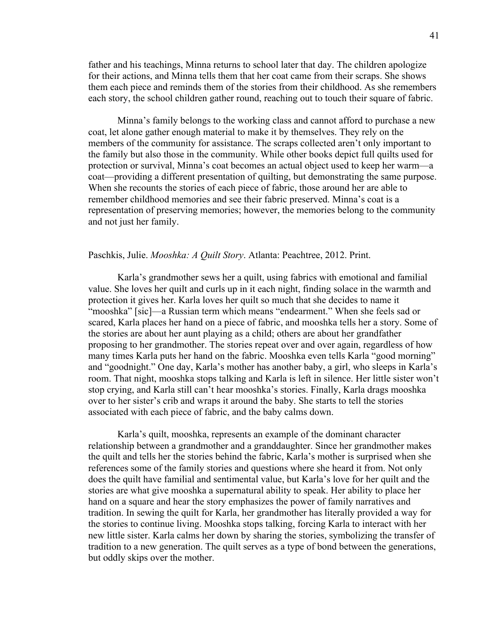father and his teachings, Minna returns to school later that day. The children apologize for their actions, and Minna tells them that her coat came from their scraps. She shows them each piece and reminds them of the stories from their childhood. As she remembers each story, the school children gather round, reaching out to touch their square of fabric.

Minna's family belongs to the working class and cannot afford to purchase a new coat, let alone gather enough material to make it by themselves. They rely on the members of the community for assistance. The scraps collected aren't only important to the family but also those in the community. While other books depict full quilts used for protection or survival, Minna's coat becomes an actual object used to keep her warm—a coat—providing a different presentation of quilting, but demonstrating the same purpose. When she recounts the stories of each piece of fabric, those around her are able to remember childhood memories and see their fabric preserved. Minna's coat is a representation of preserving memories; however, the memories belong to the community and not just her family.

#### Paschkis, Julie. *Mooshka: A Quilt Story*. Atlanta: Peachtree, 2012. Print.

Karla's grandmother sews her a quilt, using fabrics with emotional and familial value. She loves her quilt and curls up in it each night, finding solace in the warmth and protection it gives her. Karla loves her quilt so much that she decides to name it "mooshka" [sic]—a Russian term which means "endearment." When she feels sad or scared, Karla places her hand on a piece of fabric, and mooshka tells her a story. Some of the stories are about her aunt playing as a child; others are about her grandfather proposing to her grandmother. The stories repeat over and over again, regardless of how many times Karla puts her hand on the fabric. Mooshka even tells Karla "good morning" and "goodnight." One day, Karla's mother has another baby, a girl, who sleeps in Karla's room. That night, mooshka stops talking and Karla is left in silence. Her little sister won't stop crying, and Karla still can't hear mooshka's stories. Finally, Karla drags mooshka over to her sister's crib and wraps it around the baby. She starts to tell the stories associated with each piece of fabric, and the baby calms down.

Karla's quilt, mooshka, represents an example of the dominant character relationship between a grandmother and a granddaughter. Since her grandmother makes the quilt and tells her the stories behind the fabric, Karla's mother is surprised when she references some of the family stories and questions where she heard it from. Not only does the quilt have familial and sentimental value, but Karla's love for her quilt and the stories are what give mooshka a supernatural ability to speak. Her ability to place her hand on a square and hear the story emphasizes the power of family narratives and tradition. In sewing the quilt for Karla, her grandmother has literally provided a way for the stories to continue living. Mooshka stops talking, forcing Karla to interact with her new little sister. Karla calms her down by sharing the stories, symbolizing the transfer of tradition to a new generation. The quilt serves as a type of bond between the generations, but oddly skips over the mother.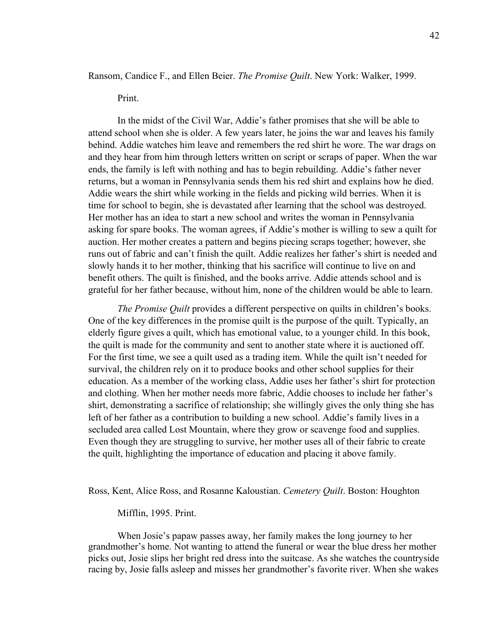Ransom, Candice F., and Ellen Beier. *The Promise Quilt*. New York: Walker, 1999.

Print.

In the midst of the Civil War, Addie's father promises that she will be able to attend school when she is older. A few years later, he joins the war and leaves his family behind. Addie watches him leave and remembers the red shirt he wore. The war drags on and they hear from him through letters written on script or scraps of paper. When the war ends, the family is left with nothing and has to begin rebuilding. Addie's father never returns, but a woman in Pennsylvania sends them his red shirt and explains how he died. Addie wears the shirt while working in the fields and picking wild berries. When it is time for school to begin, she is devastated after learning that the school was destroyed. Her mother has an idea to start a new school and writes the woman in Pennsylvania asking for spare books. The woman agrees, if Addie's mother is willing to sew a quilt for auction. Her mother creates a pattern and begins piecing scraps together; however, she runs out of fabric and can't finish the quilt. Addie realizes her father's shirt is needed and slowly hands it to her mother, thinking that his sacrifice will continue to live on and benefit others. The quilt is finished, and the books arrive. Addie attends school and is grateful for her father because, without him, none of the children would be able to learn.

*The Promise Quilt* provides a different perspective on quilts in children's books. One of the key differences in the promise quilt is the purpose of the quilt. Typically, an elderly figure gives a quilt, which has emotional value, to a younger child. In this book, the quilt is made for the community and sent to another state where it is auctioned off. For the first time, we see a quilt used as a trading item. While the quilt isn't needed for survival, the children rely on it to produce books and other school supplies for their education. As a member of the working class, Addie uses her father's shirt for protection and clothing. When her mother needs more fabric, Addie chooses to include her father's shirt, demonstrating a sacrifice of relationship; she willingly gives the only thing she has left of her father as a contribution to building a new school. Addie's family lives in a secluded area called Lost Mountain, where they grow or scavenge food and supplies. Even though they are struggling to survive, her mother uses all of their fabric to create the quilt, highlighting the importance of education and placing it above family.

Ross, Kent, Alice Ross, and Rosanne Kaloustian. *Cemetery Quilt*. Boston: Houghton

Mifflin, 1995. Print.

When Josie's papaw passes away, her family makes the long journey to her grandmother's home. Not wanting to attend the funeral or wear the blue dress her mother picks out, Josie slips her bright red dress into the suitcase. As she watches the countryside racing by, Josie falls asleep and misses her grandmother's favorite river. When she wakes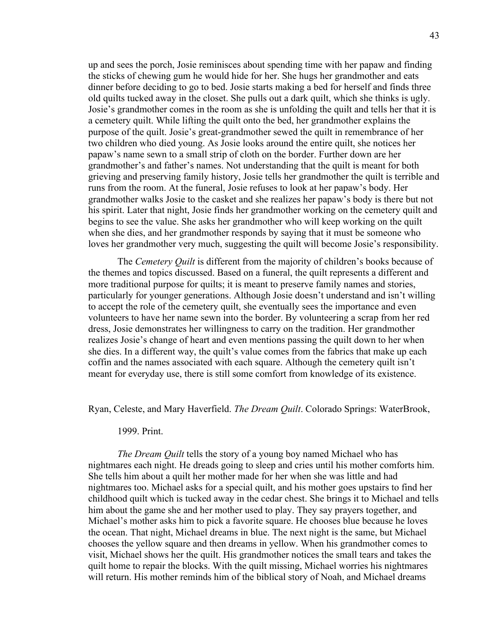up and sees the porch, Josie reminisces about spending time with her papaw and finding the sticks of chewing gum he would hide for her. She hugs her grandmother and eats dinner before deciding to go to bed. Josie starts making a bed for herself and finds three old quilts tucked away in the closet. She pulls out a dark quilt, which she thinks is ugly. Josie's grandmother comes in the room as she is unfolding the quilt and tells her that it is a cemetery quilt. While lifting the quilt onto the bed, her grandmother explains the purpose of the quilt. Josie's great-grandmother sewed the quilt in remembrance of her two children who died young. As Josie looks around the entire quilt, she notices her papaw's name sewn to a small strip of cloth on the border. Further down are her grandmother's and father's names. Not understanding that the quilt is meant for both grieving and preserving family history, Josie tells her grandmother the quilt is terrible and runs from the room. At the funeral, Josie refuses to look at her papaw's body. Her grandmother walks Josie to the casket and she realizes her papaw's body is there but not his spirit. Later that night, Josie finds her grandmother working on the cemetery quilt and begins to see the value. She asks her grandmother who will keep working on the quilt when she dies, and her grandmother responds by saying that it must be someone who loves her grandmother very much, suggesting the quilt will become Josie's responsibility.

The *Cemetery Quilt* is different from the majority of children's books because of the themes and topics discussed. Based on a funeral, the quilt represents a different and more traditional purpose for quilts; it is meant to preserve family names and stories, particularly for younger generations. Although Josie doesn't understand and isn't willing to accept the role of the cemetery quilt, she eventually sees the importance and even volunteers to have her name sewn into the border. By volunteering a scrap from her red dress, Josie demonstrates her willingness to carry on the tradition. Her grandmother realizes Josie's change of heart and even mentions passing the quilt down to her when she dies. In a different way, the quilt's value comes from the fabrics that make up each coffin and the names associated with each square. Although the cemetery quilt isn't meant for everyday use, there is still some comfort from knowledge of its existence.

Ryan, Celeste, and Mary Haverfield. *The Dream Quilt*. Colorado Springs: WaterBrook,

#### 1999. Print.

*The Dream Quilt* tells the story of a young boy named Michael who has nightmares each night. He dreads going to sleep and cries until his mother comforts him. She tells him about a quilt her mother made for her when she was little and had nightmares too. Michael asks for a special quilt, and his mother goes upstairs to find her childhood quilt which is tucked away in the cedar chest. She brings it to Michael and tells him about the game she and her mother used to play. They say prayers together, and Michael's mother asks him to pick a favorite square. He chooses blue because he loves the ocean. That night, Michael dreams in blue. The next night is the same, but Michael chooses the yellow square and then dreams in yellow. When his grandmother comes to visit, Michael shows her the quilt. His grandmother notices the small tears and takes the quilt home to repair the blocks. With the quilt missing, Michael worries his nightmares will return. His mother reminds him of the biblical story of Noah, and Michael dreams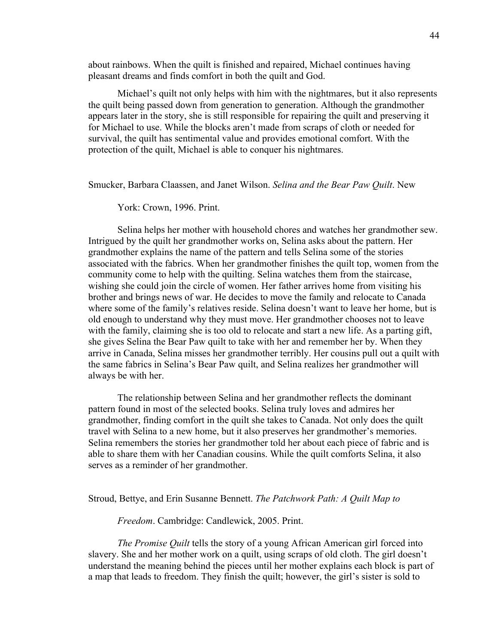about rainbows. When the quilt is finished and repaired, Michael continues having pleasant dreams and finds comfort in both the quilt and God.

Michael's quilt not only helps with him with the nightmares, but it also represents the quilt being passed down from generation to generation. Although the grandmother appears later in the story, she is still responsible for repairing the quilt and preserving it for Michael to use. While the blocks aren't made from scraps of cloth or needed for survival, the quilt has sentimental value and provides emotional comfort. With the protection of the quilt, Michael is able to conquer his nightmares.

Smucker, Barbara Claassen, and Janet Wilson. *Selina and the Bear Paw Quilt*. New

York: Crown, 1996. Print.

Selina helps her mother with household chores and watches her grandmother sew. Intrigued by the quilt her grandmother works on, Selina asks about the pattern. Her grandmother explains the name of the pattern and tells Selina some of the stories associated with the fabrics. When her grandmother finishes the quilt top, women from the community come to help with the quilting. Selina watches them from the staircase, wishing she could join the circle of women. Her father arrives home from visiting his brother and brings news of war. He decides to move the family and relocate to Canada where some of the family's relatives reside. Selina doesn't want to leave her home, but is old enough to understand why they must move. Her grandmother chooses not to leave with the family, claiming she is too old to relocate and start a new life. As a parting gift, she gives Selina the Bear Paw quilt to take with her and remember her by. When they arrive in Canada, Selina misses her grandmother terribly. Her cousins pull out a quilt with the same fabrics in Selina's Bear Paw quilt, and Selina realizes her grandmother will always be with her.

The relationship between Selina and her grandmother reflects the dominant pattern found in most of the selected books. Selina truly loves and admires her grandmother, finding comfort in the quilt she takes to Canada. Not only does the quilt travel with Selina to a new home, but it also preserves her grandmother's memories. Selina remembers the stories her grandmother told her about each piece of fabric and is able to share them with her Canadian cousins. While the quilt comforts Selina, it also serves as a reminder of her grandmother.

Stroud, Bettye, and Erin Susanne Bennett. *The Patchwork Path: A Quilt Map to* 

*Freedom*. Cambridge: Candlewick, 2005. Print.

*The Promise Quilt* tells the story of a young African American girl forced into slavery. She and her mother work on a quilt, using scraps of old cloth. The girl doesn't understand the meaning behind the pieces until her mother explains each block is part of a map that leads to freedom. They finish the quilt; however, the girl's sister is sold to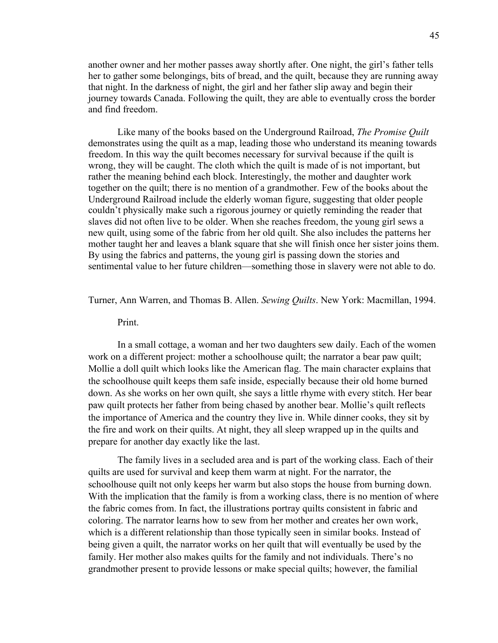another owner and her mother passes away shortly after. One night, the girl's father tells her to gather some belongings, bits of bread, and the quilt, because they are running away that night. In the darkness of night, the girl and her father slip away and begin their journey towards Canada. Following the quilt, they are able to eventually cross the border and find freedom.

Like many of the books based on the Underground Railroad, *The Promise Quilt* demonstrates using the quilt as a map, leading those who understand its meaning towards freedom. In this way the quilt becomes necessary for survival because if the quilt is wrong, they will be caught. The cloth which the quilt is made of is not important, but rather the meaning behind each block. Interestingly, the mother and daughter work together on the quilt; there is no mention of a grandmother. Few of the books about the Underground Railroad include the elderly woman figure, suggesting that older people couldn't physically make such a rigorous journey or quietly reminding the reader that slaves did not often live to be older. When she reaches freedom, the young girl sews a new quilt, using some of the fabric from her old quilt. She also includes the patterns her mother taught her and leaves a blank square that she will finish once her sister joins them. By using the fabrics and patterns, the young girl is passing down the stories and sentimental value to her future children—something those in slavery were not able to do.

# Turner, Ann Warren, and Thomas B. Allen. *Sewing Quilts*. New York: Macmillan, 1994.

Print.

In a small cottage, a woman and her two daughters sew daily. Each of the women work on a different project: mother a schoolhouse quilt; the narrator a bear paw quilt; Mollie a doll quilt which looks like the American flag. The main character explains that the schoolhouse quilt keeps them safe inside, especially because their old home burned down. As she works on her own quilt, she says a little rhyme with every stitch. Her bear paw quilt protects her father from being chased by another bear. Mollie's quilt reflects the importance of America and the country they live in. While dinner cooks, they sit by the fire and work on their quilts. At night, they all sleep wrapped up in the quilts and prepare for another day exactly like the last.

The family lives in a secluded area and is part of the working class. Each of their quilts are used for survival and keep them warm at night. For the narrator, the schoolhouse quilt not only keeps her warm but also stops the house from burning down. With the implication that the family is from a working class, there is no mention of where the fabric comes from. In fact, the illustrations portray quilts consistent in fabric and coloring. The narrator learns how to sew from her mother and creates her own work, which is a different relationship than those typically seen in similar books. Instead of being given a quilt, the narrator works on her quilt that will eventually be used by the family. Her mother also makes quilts for the family and not individuals. There's no grandmother present to provide lessons or make special quilts; however, the familial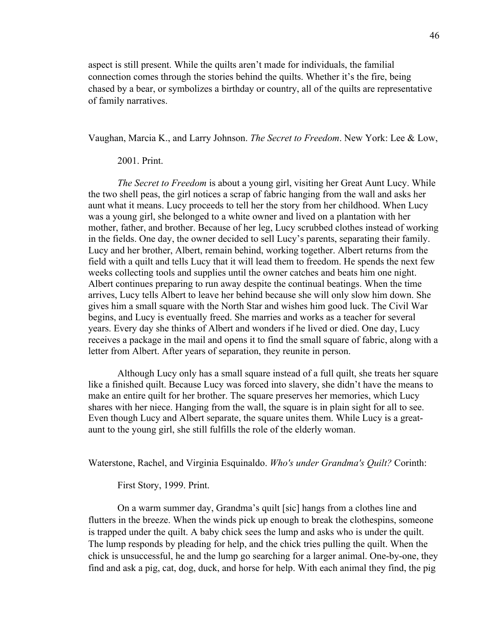aspect is still present. While the quilts aren't made for individuals, the familial connection comes through the stories behind the quilts. Whether it's the fire, being chased by a bear, or symbolizes a birthday or country, all of the quilts are representative of family narratives.

Vaughan, Marcia K., and Larry Johnson. *The Secret to Freedom*. New York: Lee & Low,

# 2001. Print.

*The Secret to Freedom* is about a young girl, visiting her Great Aunt Lucy. While the two shell peas, the girl notices a scrap of fabric hanging from the wall and asks her aunt what it means. Lucy proceeds to tell her the story from her childhood. When Lucy was a young girl, she belonged to a white owner and lived on a plantation with her mother, father, and brother. Because of her leg, Lucy scrubbed clothes instead of working in the fields. One day, the owner decided to sell Lucy's parents, separating their family. Lucy and her brother, Albert, remain behind, working together. Albert returns from the field with a quilt and tells Lucy that it will lead them to freedom. He spends the next few weeks collecting tools and supplies until the owner catches and beats him one night. Albert continues preparing to run away despite the continual beatings. When the time arrives, Lucy tells Albert to leave her behind because she will only slow him down. She gives him a small square with the North Star and wishes him good luck. The Civil War begins, and Lucy is eventually freed. She marries and works as a teacher for several years. Every day she thinks of Albert and wonders if he lived or died. One day, Lucy receives a package in the mail and opens it to find the small square of fabric, along with a letter from Albert. After years of separation, they reunite in person.

Although Lucy only has a small square instead of a full quilt, she treats her square like a finished quilt. Because Lucy was forced into slavery, she didn't have the means to make an entire quilt for her brother. The square preserves her memories, which Lucy shares with her niece. Hanging from the wall, the square is in plain sight for all to see. Even though Lucy and Albert separate, the square unites them. While Lucy is a greataunt to the young girl, she still fulfills the role of the elderly woman.

Waterstone, Rachel, and Virginia Esquinaldo. *Who's under Grandma's Quilt?* Corinth:

First Story, 1999. Print.

On a warm summer day, Grandma's quilt [sic] hangs from a clothes line and flutters in the breeze. When the winds pick up enough to break the clothespins, someone is trapped under the quilt. A baby chick sees the lump and asks who is under the quilt. The lump responds by pleading for help, and the chick tries pulling the quilt. When the chick is unsuccessful, he and the lump go searching for a larger animal. One-by-one, they find and ask a pig, cat, dog, duck, and horse for help. With each animal they find, the pig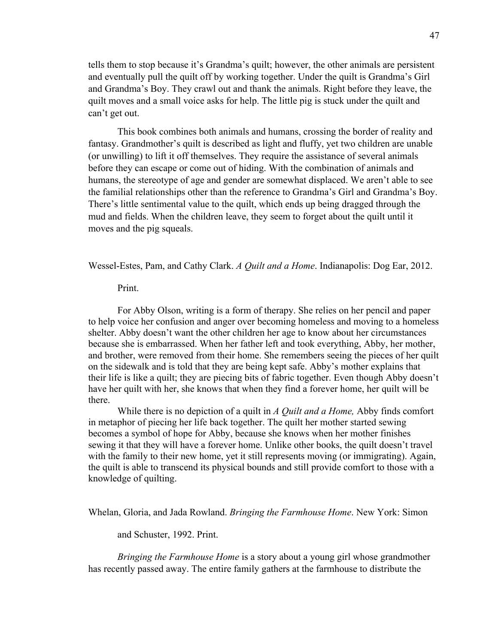tells them to stop because it's Grandma's quilt; however, the other animals are persistent and eventually pull the quilt off by working together. Under the quilt is Grandma's Girl and Grandma's Boy. They crawl out and thank the animals. Right before they leave, the quilt moves and a small voice asks for help. The little pig is stuck under the quilt and can't get out.

This book combines both animals and humans, crossing the border of reality and fantasy. Grandmother's quilt is described as light and fluffy, yet two children are unable (or unwilling) to lift it off themselves. They require the assistance of several animals before they can escape or come out of hiding. With the combination of animals and humans, the stereotype of age and gender are somewhat displaced. We aren't able to see the familial relationships other than the reference to Grandma's Girl and Grandma's Boy. There's little sentimental value to the quilt, which ends up being dragged through the mud and fields. When the children leave, they seem to forget about the quilt until it moves and the pig squeals.

Wessel-Estes, Pam, and Cathy Clark. *A Quilt and a Home*. Indianapolis: Dog Ear, 2012.

#### Print.

For Abby Olson, writing is a form of therapy. She relies on her pencil and paper to help voice her confusion and anger over becoming homeless and moving to a homeless shelter. Abby doesn't want the other children her age to know about her circumstances because she is embarrassed. When her father left and took everything, Abby, her mother, and brother, were removed from their home. She remembers seeing the pieces of her quilt on the sidewalk and is told that they are being kept safe. Abby's mother explains that their life is like a quilt; they are piecing bits of fabric together. Even though Abby doesn't have her quilt with her, she knows that when they find a forever home, her quilt will be there.

While there is no depiction of a quilt in *A Quilt and a Home,* Abby finds comfort in metaphor of piecing her life back together. The quilt her mother started sewing becomes a symbol of hope for Abby, because she knows when her mother finishes sewing it that they will have a forever home. Unlike other books, the quilt doesn't travel with the family to their new home, yet it still represents moving (or immigrating). Again, the quilt is able to transcend its physical bounds and still provide comfort to those with a knowledge of quilting.

Whelan, Gloria, and Jada Rowland. *Bringing the Farmhouse Home*. New York: Simon

and Schuster, 1992. Print.

*Bringing the Farmhouse Home* is a story about a young girl whose grandmother has recently passed away. The entire family gathers at the farmhouse to distribute the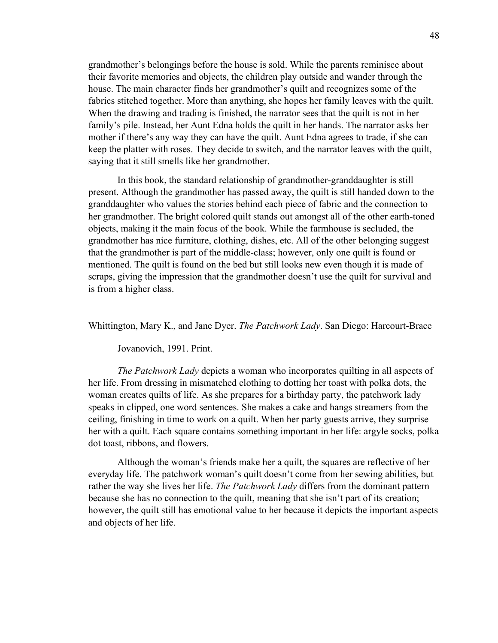grandmother's belongings before the house is sold. While the parents reminisce about their favorite memories and objects, the children play outside and wander through the house. The main character finds her grandmother's quilt and recognizes some of the fabrics stitched together. More than anything, she hopes her family leaves with the quilt. When the drawing and trading is finished, the narrator sees that the quilt is not in her family's pile. Instead, her Aunt Edna holds the quilt in her hands. The narrator asks her mother if there's any way they can have the quilt. Aunt Edna agrees to trade, if she can keep the platter with roses. They decide to switch, and the narrator leaves with the quilt, saying that it still smells like her grandmother.

In this book, the standard relationship of grandmother-granddaughter is still present. Although the grandmother has passed away, the quilt is still handed down to the granddaughter who values the stories behind each piece of fabric and the connection to her grandmother. The bright colored quilt stands out amongst all of the other earth-toned objects, making it the main focus of the book. While the farmhouse is secluded, the grandmother has nice furniture, clothing, dishes, etc. All of the other belonging suggest that the grandmother is part of the middle-class; however, only one quilt is found or mentioned. The quilt is found on the bed but still looks new even though it is made of scraps, giving the impression that the grandmother doesn't use the quilt for survival and is from a higher class.

Whittington, Mary K., and Jane Dyer. *The Patchwork Lady*. San Diego: Harcourt-Brace

Jovanovich, 1991. Print.

*The Patchwork Lady* depicts a woman who incorporates quilting in all aspects of her life. From dressing in mismatched clothing to dotting her toast with polka dots, the woman creates quilts of life. As she prepares for a birthday party, the patchwork lady speaks in clipped, one word sentences. She makes a cake and hangs streamers from the ceiling, finishing in time to work on a quilt. When her party guests arrive, they surprise her with a quilt. Each square contains something important in her life: argyle socks, polka dot toast, ribbons, and flowers.

Although the woman's friends make her a quilt, the squares are reflective of her everyday life. The patchwork woman's quilt doesn't come from her sewing abilities, but rather the way she lives her life. *The Patchwork Lady* differs from the dominant pattern because she has no connection to the quilt, meaning that she isn't part of its creation; however, the quilt still has emotional value to her because it depicts the important aspects and objects of her life.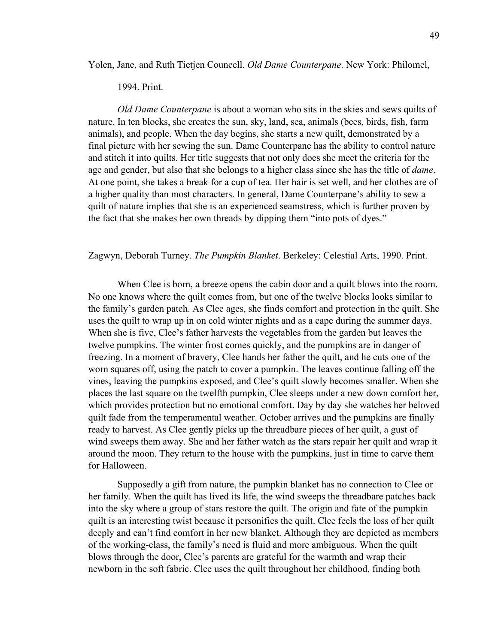Yolen, Jane, and Ruth Tietjen Councell. *Old Dame Counterpane*. New York: Philomel,

## 1994. Print.

*Old Dame Counterpane* is about a woman who sits in the skies and sews quilts of nature. In ten blocks, she creates the sun, sky, land, sea, animals (bees, birds, fish, farm animals), and people. When the day begins, she starts a new quilt, demonstrated by a final picture with her sewing the sun. Dame Counterpane has the ability to control nature and stitch it into quilts. Her title suggests that not only does she meet the criteria for the age and gender, but also that she belongs to a higher class since she has the title of *dame*. At one point, she takes a break for a cup of tea. Her hair is set well, and her clothes are of a higher quality than most characters. In general, Dame Counterpane's ability to sew a quilt of nature implies that she is an experienced seamstress, which is further proven by the fact that she makes her own threads by dipping them "into pots of dyes."

#### Zagwyn, Deborah Turney. *The Pumpkin Blanket*. Berkeley: Celestial Arts, 1990. Print.

When Clee is born, a breeze opens the cabin door and a quilt blows into the room. No one knows where the quilt comes from, but one of the twelve blocks looks similar to the family's garden patch. As Clee ages, she finds comfort and protection in the quilt. She uses the quilt to wrap up in on cold winter nights and as a cape during the summer days. When she is five, Clee's father harvests the vegetables from the garden but leaves the twelve pumpkins. The winter frost comes quickly, and the pumpkins are in danger of freezing. In a moment of bravery, Clee hands her father the quilt, and he cuts one of the worn squares off, using the patch to cover a pumpkin. The leaves continue falling off the vines, leaving the pumpkins exposed, and Clee's quilt slowly becomes smaller. When she places the last square on the twelfth pumpkin, Clee sleeps under a new down comfort her, which provides protection but no emotional comfort. Day by day she watches her beloved quilt fade from the temperamental weather. October arrives and the pumpkins are finally ready to harvest. As Clee gently picks up the threadbare pieces of her quilt, a gust of wind sweeps them away. She and her father watch as the stars repair her quilt and wrap it around the moon. They return to the house with the pumpkins, just in time to carve them for Halloween.

Supposedly a gift from nature, the pumpkin blanket has no connection to Clee or her family. When the quilt has lived its life, the wind sweeps the threadbare patches back into the sky where a group of stars restore the quilt. The origin and fate of the pumpkin quilt is an interesting twist because it personifies the quilt. Clee feels the loss of her quilt deeply and can't find comfort in her new blanket. Although they are depicted as members of the working-class, the family's need is fluid and more ambiguous. When the quilt blows through the door, Clee's parents are grateful for the warmth and wrap their newborn in the soft fabric. Clee uses the quilt throughout her childhood, finding both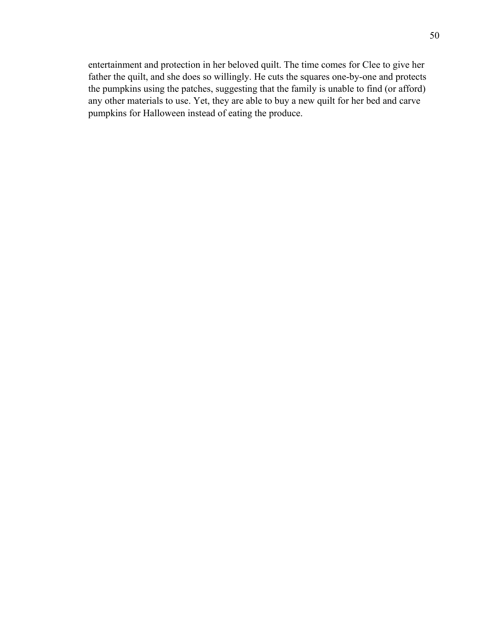entertainment and protection in her beloved quilt. The time comes for Clee to give her father the quilt, and she does so willingly. He cuts the squares one-by-one and protects the pumpkins using the patches, suggesting that the family is unable to find (or afford) any other materials to use. Yet, they are able to buy a new quilt for her bed and carve pumpkins for Halloween instead of eating the produce.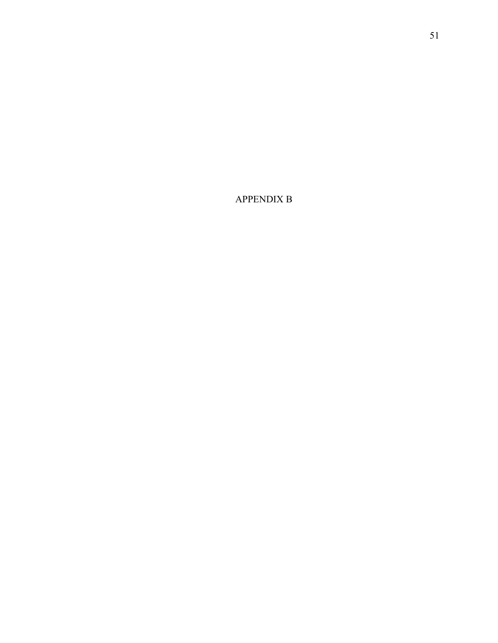APPENDIX B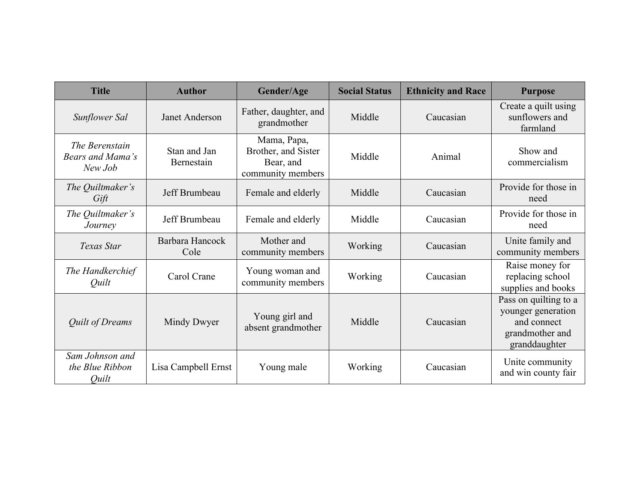| <b>Title</b>                                  | <b>Author</b>              | Gender/Age                                                           | <b>Social Status</b> | <b>Ethnicity and Race</b> | <b>Purpose</b>                                                                                 |
|-----------------------------------------------|----------------------------|----------------------------------------------------------------------|----------------------|---------------------------|------------------------------------------------------------------------------------------------|
| Sunflower Sal                                 | Janet Anderson             | Father, daughter, and<br>grandmother                                 | Middle               | Caucasian                 | Create a quilt using<br>sunflowers and<br>farmland                                             |
| The Berenstain<br>Bears and Mama's<br>New Job | Stan and Jan<br>Bernestain | Mama, Papa,<br>Brother, and Sister<br>Bear, and<br>community members | Middle               | Animal                    | Show and<br>commercialism                                                                      |
| The Quiltmaker's<br>Gift                      | Jeff Brumbeau              | Female and elderly                                                   | Middle               | Caucasian                 | Provide for those in<br>need                                                                   |
| The Quiltmaker's<br>Journey                   | Jeff Brumbeau              | Female and elderly                                                   | Middle               | Caucasian                 | Provide for those in<br>need                                                                   |
| Texas Star                                    | Barbara Hancock<br>Cole    | Mother and<br>community members                                      | Working              | Caucasian                 | Unite family and<br>community members                                                          |
| The Handkerchief<br>Quilt                     | Carol Crane                | Young woman and<br>community members                                 | Working              | Caucasian                 | Raise money for<br>replacing school<br>supplies and books                                      |
| <b>Quilt of Dreams</b>                        | Mindy Dwyer                | Young girl and<br>absent grandmother                                 | Middle               | Caucasian                 | Pass on quilting to a<br>younger generation<br>and connect<br>grandmother and<br>granddaughter |
| Sam Johnson and<br>the Blue Ribbon<br>Quilt   | Lisa Campbell Ernst        | Young male                                                           | Working              | Caucasian                 | Unite community<br>and win county fair                                                         |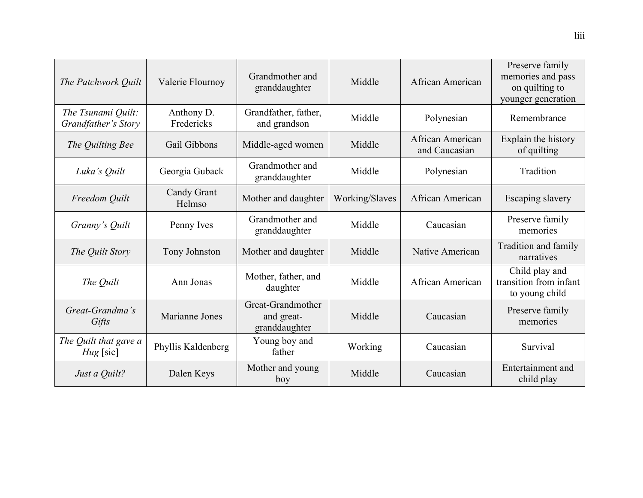| The Patchwork Quilt                       | Valerie Flournoy         | Grandmother and<br>granddaughter                 | Middle         | African American                  | Preserve family<br>memories and pass<br>on quilting to<br>younger generation |
|-------------------------------------------|--------------------------|--------------------------------------------------|----------------|-----------------------------------|------------------------------------------------------------------------------|
| The Tsunami Quilt:<br>Grandfather's Story | Anthony D.<br>Fredericks | Grandfather, father,<br>and grandson             | Middle         | Polynesian                        | Remembrance                                                                  |
| The Quilting Bee                          | Gail Gibbons             | Middle-aged women                                | Middle         | African American<br>and Caucasian | Explain the history<br>of quilting                                           |
| Luka's Quilt                              | Georgia Guback           | Grandmother and<br>granddaughter                 | Middle         | Polynesian                        | Tradition                                                                    |
| Freedom Quilt                             | Candy Grant<br>Helmso    | Mother and daughter                              | Working/Slaves | African American                  | Escaping slavery                                                             |
| Granny's Quilt                            | Penny Ives               | Grandmother and<br>granddaughter                 | Middle         | Caucasian                         | Preserve family<br>memories                                                  |
| The Quilt Story                           | Tony Johnston            | Mother and daughter                              | Middle         | Native American                   | Tradition and family<br>narratives                                           |
| The Quilt                                 | Ann Jonas                | Mother, father, and<br>daughter                  | Middle         | African American                  | Child play and<br>transition from infant<br>to young child                   |
| Great-Grandma's<br>Gifts                  | Marianne Jones           | Great-Grandmother<br>and great-<br>granddaughter | Middle         | Caucasian                         | Preserve family<br>memories                                                  |
| The Quilt that gave a<br>$Hug$ [sic]      | Phyllis Kaldenberg       | Young boy and<br>father                          | Working        | Caucasian                         | Survival                                                                     |
| Just a Quilt?                             | Dalen Keys               | Mother and young<br>boy                          | Middle         | Caucasian                         | Entertainment and<br>child play                                              |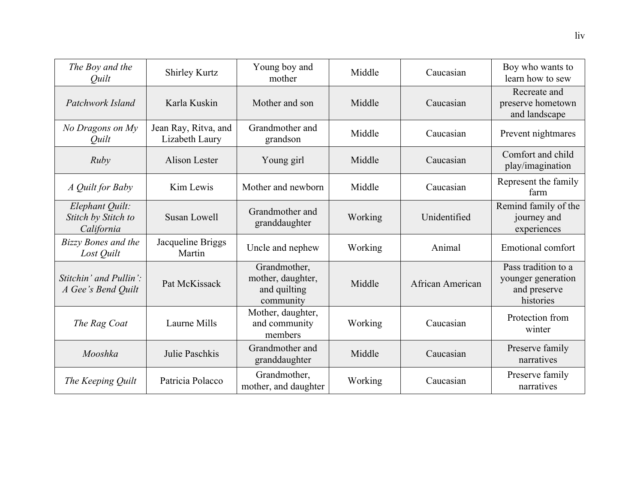| The Boy and the<br>Quilt                             | <b>Shirley Kurtz</b>                   | Young boy and<br>mother                                        | Middle  | Caucasian        | Boy who wants to<br>learn how to sew                                   |
|------------------------------------------------------|----------------------------------------|----------------------------------------------------------------|---------|------------------|------------------------------------------------------------------------|
| Patchwork Island                                     | Karla Kuskin                           | Mother and son                                                 | Middle  | Caucasian        | Recreate and<br>preserve hometown<br>and landscape                     |
| No Dragons on My<br><i><u>Ouilt</u></i>              | Jean Ray, Ritva, and<br>Lizabeth Laury | Grandmother and<br>grandson                                    | Middle  | Caucasian        | Prevent nightmares                                                     |
| Ruby                                                 | <b>Alison Lester</b>                   | Young girl                                                     | Middle  | Caucasian        | Comfort and child<br>play/imagination                                  |
| A Quilt for Baby                                     | Kim Lewis                              | Mother and newborn                                             | Middle  | Caucasian        | Represent the family<br>farm                                           |
| Elephant Quilt:<br>Stitch by Stitch to<br>California | Susan Lowell                           | Grandmother and<br>granddaughter                               | Working | Unidentified     | Remind family of the<br>journey and<br>experiences                     |
| <b>Bizzy Bones and the</b><br>Lost Quilt             | Jacqueline Briggs<br>Martin            | Uncle and nephew                                               | Working | Animal           | <b>Emotional comfort</b>                                               |
| Stitchin' and Pullin':<br>A Gee's Bend Quilt         | Pat McKissack                          | Grandmother,<br>mother, daughter,<br>and quilting<br>community | Middle  | African American | Pass tradition to a<br>younger generation<br>and preserve<br>histories |
| The Rag Coat                                         | Laurne Mills                           | Mother, daughter,<br>and community<br>members                  | Working | Caucasian        | Protection from<br>winter                                              |
| Mooshka                                              | Julie Paschkis                         | Grandmother and<br>granddaughter                               | Middle  | Caucasian        | Preserve family<br>narratives                                          |
| The Keeping Quilt                                    | Patricia Polacco                       | Grandmother,<br>mother, and daughter                           | Working | Caucasian        | Preserve family<br>narratives                                          |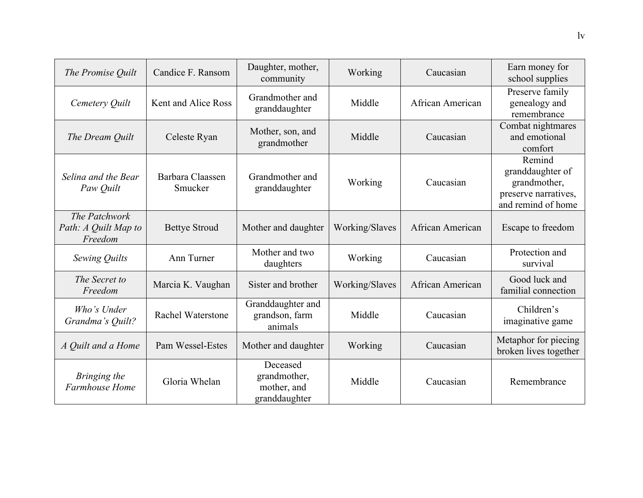| The Promise Quilt                                | Candice F. Ransom           | Daughter, mother,<br>community                           | Working        | Caucasian        | Earn money for<br>school supplies                                                        |
|--------------------------------------------------|-----------------------------|----------------------------------------------------------|----------------|------------------|------------------------------------------------------------------------------------------|
| Cemetery Quilt                                   | Kent and Alice Ross         | Grandmother and<br>granddaughter                         | Middle         | African American | Preserve family<br>genealogy and<br>remembrance                                          |
| The Dream Quilt                                  | Celeste Ryan                | Mother, son, and<br>grandmother                          | Middle         | Caucasian        | Combat nightmares<br>and emotional<br>comfort                                            |
| Selina and the Bear<br>Paw Quilt                 | Barbara Claassen<br>Smucker | Grandmother and<br>granddaughter                         | Working        | Caucasian        | Remind<br>granddaughter of<br>grandmother,<br>preserve narratives,<br>and remind of home |
| The Patchwork<br>Path: A Quilt Map to<br>Freedom | <b>Bettye Stroud</b>        | Mother and daughter                                      | Working/Slaves | African American | Escape to freedom                                                                        |
| Sewing Quilts                                    | Ann Turner                  | Mother and two<br>daughters                              | Working        | Caucasian        | Protection and<br>survival                                                               |
| The Secret to<br>Freedom                         | Marcia K. Vaughan           | Sister and brother                                       | Working/Slaves | African American | Good luck and<br>familial connection                                                     |
| Who's Under<br>Grandma's Quilt?                  | <b>Rachel Waterstone</b>    | Granddaughter and<br>grandson, farm<br>animals           | Middle         | Caucasian        | Children's<br>imaginative game                                                           |
| A Quilt and a Home                               | Pam Wessel-Estes            | Mother and daughter                                      | Working        | Caucasian        | Metaphor for piecing<br>broken lives together                                            |
| Bringing the<br>Farmhouse Home                   | Gloria Whelan               | Deceased<br>grandmother,<br>mother, and<br>granddaughter | Middle         | Caucasian        | Remembrance                                                                              |